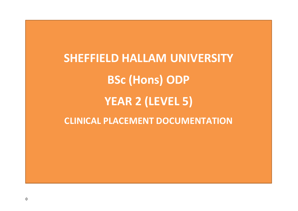**SHEFFIELD HALLAM UNIVERSITY BSc (Hons) ODP YEAR 2 (LEVEL 5) CLINICAL PLACEMENT DOCUMENTATION**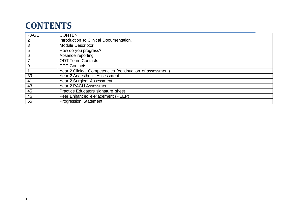### **CONTENTS**

| <b>PAGE</b>      | <b>CONTENT</b>                                            |
|------------------|-----------------------------------------------------------|
| $\overline{2}$   | Introduction to Clinical Documentation.                   |
| $\sqrt{3}$       | <b>Module Descriptor</b>                                  |
| $\overline{5}$   | How do you progress?                                      |
| 6                | Absence reporting                                         |
| $\overline{7}$   | <b>ODT Team Contacts</b>                                  |
| $\boldsymbol{9}$ | <b>CPC Contacts</b>                                       |
| 11               | Year 2 Clinical Competencies (continuation of assessment) |
| $\overline{39}$  | Year 2 Anaesthetic Assessment                             |
| 41               | Year 2 Surgical Assessment                                |
| $\overline{43}$  | <b>Year 2 PACU Assessment</b>                             |
| 45               | Practice Educators signature sheet                        |
| 46               | Peer Enhanced e-Placement (PEEP)                          |
| 55               | <b>Progression Statement</b>                              |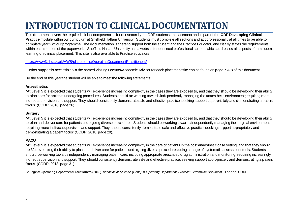# **INTRODUCTION TO CLINICAL DOCUMENTATION**

This document covers the required clinical competencies for our second year ODP students on placement and is part of the **ODP Developing Clinical Practice** module within our curriculum at Sheffield Hallam University. Students must complete all sections and act professionally at all times to be able to complete year 2 of our programme. The documentation is there to support both the student and the Practice Educator, and clearly states the requirements within each section of the paperwork. Sheffield Hallam University has a website for continual professional support which addresses all aspects of the student learning on clinical placement. This site is also available to Practice educators.

#### <https://www3.shu.ac.uk/HWB/placements/OperatingDepartmentPractitioners/>

Further support is accessible via the named Visiting Lecturer/Academic Advisor for each placement site can be found on page 7 & 8 of this document.

By the end of this year the student will be able to meet the following statements:

#### **Anaesthetics**

"At Level 5 it is expected that students will experience increasing complexity in the cases they are exposed to, and that they should be developing their ability to plan care for patients undergoing procedures. Students should be working towards independently managing the anaesthetic environment; requiring more indirect supervision and support. They should consistently demonstrate safe and effective practice, seeking support appropriately and demonstrating a patient focus" (CODP, 2018, page 26).

#### **Surgery**

"At Level 5 it is expected that students will experience increasing complexity in the cases they are exposed to, and that they should be developing their ability to plan and deliver care for patients undergoing diverse procedures. Students should be working towards independently managing the surgical environment; requiring more indirect supervision and support. They should consistently demonstrate safe and effective practice, seeking support appropriately and demonstrating a patient focus" (CODP, 2018, page 29).

#### **PACU**

"At Level 5 it is expected that students will experience increasing complexity in the care of patients in the post anaesthetic case setting, and that they should be 32 developing their ability to plan and deliver care for patients undergoing diverse procedures using a range of systematic assessment tools. Students should be working towards independently managing patient care, including appropriate prescribed drug administration and monitoring; requiring increasingly indirect supervision and support. They should consistently demonstrate safe and effective practice, seeking support appropriately and demonstrating a patient focus" (CODP, 2018, page 31).

College of Operating Department Practitioners (2018), *Bachelor of Science (Hons) in Operating Department Practice; Curriculum Document*. London: CODP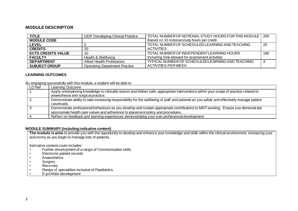#### **MODULE DESCRIPTOR**

| <b>TITLE</b>              | <b>ODP Developing Clinical Practice</b> | TOTAL NUMBER OF NOTIONAL STUDY HOURS FOR THIS MODULE   200 |     |
|---------------------------|-----------------------------------------|------------------------------------------------------------|-----|
| <b>MODULE CODE</b>        |                                         | Based on 10 notional study hours per credit                |     |
| <b>LEVEL</b>              |                                         | TOTAL NUMBER OF SCHEDULED LEARNING AND TEACHING            | -20 |
| <b>CREDITS</b>            | 20                                      | <b>ACTIVITIES</b>                                          |     |
| <b>ECTS CREDITS VALUE</b> | 10                                      | TOTAL NUMBER OF INDEPENDENTLEARNING HOURS                  | 180 |
| <b>FACULTY</b>            | Health & Wellbeing                      | Including time allowed for assessment activities           |     |
| <b>DEPARTMENT</b>         | Allied Health Professions               | TYPICAL NUMBER OF SCHEDULED LEARNING AND TEACHING          |     |
| <b>SUBJECT GROUP</b>      | <b>Operating Department Practice</b>    | <b>ACTIVITIES PER WEEK</b>                                 |     |

#### **LEARNING OUTCOMES**

By engaging successfully with this module, a student will be able to

| LO Ref | Learning Outcome                                                                                                                                                                                                    |
|--------|---------------------------------------------------------------------------------------------------------------------------------------------------------------------------------------------------------------------|
|        | Apply underpinning knowledge to clinically reason and deliver safe, appropriate interventions within your scope of practice related to<br>anaesthesia and surgical practice.                                        |
|        |                                                                                                                                                                                                                     |
|        | Demonstrate ability to take increasing responsibility for the wellbeing of staff and patients as you safely and effectively manage patient<br>caseloads.                                                            |
|        | Demonstrate professional behaviours as you develop and sustain appropriate contributions to MDT working. Ensure you demonstrate<br>appropriate health care values and adherence to placement policy and procedures. |
|        | Reflect on feedback and learning experiences demonstrating your own professional development.                                                                                                                       |

#### **MODULE SUMMARY (including indicative content)**

**The module is aims** to provide you with the opportunity to develop and enhance your knowledge and skills within the clinical environment, increasing your autonomy as you begin to manage lists of patients.

Indicative content cover includes:

- Further development of a range of Communication skills<br>• Flectronic patient records
- Electronic patient records
- Anaesthetics
- Surgery
- Recovery
- Range of specialities inclusive of Paediatrics.
- E-portfolio development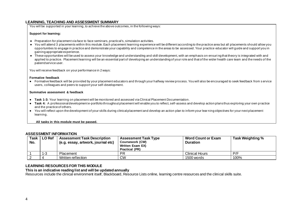#### **LEARNING, TEACHING AND ASSESSMENT SUMMARY**

You will be supported in your learning, to achieve the above outcomes, in the following ways:

#### **Support for learning:**

- Preparation for placement via face to face seminars, practical's, simulation activities.
- You will attend 3 placements within this module. Each placement learning experience will be different according to the practice area but all placements should allow you opportunities to engage in practice and demonstrate your capability and competence in the areas to be assessed. Your practice educator will guide and support you in gaining appropriate experience.
- These opportunities will be used to assess your knowledge and understanding and skill development, with an emphasis on ensuri ng that theory is integrated with and applied to practice. Placement learning will be an essential part of developing an understanding of your role and that of the wider health care team and the needs of the patient/service user.

You will receive feedback on your performance in 2 ways:

#### **Formative feedback**

● Formative feedback will be provided by your placement educators and through your halfway review process. You will also be encouraged to seek feedback from s ervice users, colleagues and peers to support your self-development.

#### **Summative assessment & feedback**

- **Task 1-3:** Your learning on placement will be monitored and assessed via Clinical Placement Documentation.
- **Task 4:** A professional development e-portfolio throughout placement will enable you to reflect, self-assess and develop action plans thus exploring your own p ractice and the practice of others.
- You will reflect upon the development of your skills during clinical placement and develop an action plan to inform your lear ning objectives for your next placement learning.

**All tasks in this module must be passed.**

#### **ASSESSMENT INFORMATION**

| Task<br>No. | LO Ref  | <b>Assessment Task Description</b><br>(e.g. essay, artwork, journal etc) | <b>Assessment Task Type</b><br><b>Coursework (CW)</b><br><b>Written Exam EX)</b><br>Practical (PR) | <b>Word Count or Exam</b><br><b>Duration</b> | Task Weighting % |
|-------------|---------|--------------------------------------------------------------------------|----------------------------------------------------------------------------------------------------|----------------------------------------------|------------------|
|             | $1 - 3$ | Placement                                                                | <b>PR</b>                                                                                          | <b>Clinical Hours</b>                        | P/F              |
|             |         | Written reflection                                                       | <b>CW</b>                                                                                          | 1500 words                                   | 100%             |

#### **LEARNING RESOURCES FOR THIS MODULE**

#### **This is an indicative reading list and will be updated annually**

Resources include the clinical environment itself. Blackboard, Resource Lists online, learning centre resources and the clinical skills suite.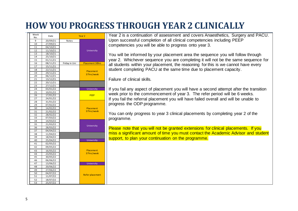## **HOW YOU PROGRESS THROUGH YEAR2 CLINICALLY**

| Week<br>No. | Date                 |               | Year <sub>2</sub>       |
|-------------|----------------------|---------------|-------------------------|
| 9           | 20/09/21             | Notes         |                         |
| 10          | 27/09/21             |               |                         |
| 11          | 04/10/21             |               |                         |
| 12          | 11/10/21             |               | University              |
| 13          | 18/10/21             |               |                         |
| 14          | 25/10/21             |               |                         |
| 15          | 01/11/21             |               |                         |
| 16          | 08/11/21             | Friday in Uni | <b>Placement 30hrs</b>  |
| 17          | 15/11/21             |               |                         |
| 18          | 22/11/21             |               | Placement               |
| 19          | 29/11/21             |               | 37hrs/week              |
| 20          | 06/12/21             |               |                         |
| 21          | 13/12/21             |               |                         |
| 22          | 20/12/21             |               |                         |
| 23          | 27/12/21             |               |                         |
| 24          | 03/01/22             |               | University              |
| 25          | 10/01/22             |               |                         |
| 26          | 17/01/22             |               | <b>PEEP</b>             |
| 27          | 24/01/22             |               |                         |
| 28          | 31/01/22             |               |                         |
| 29          | 07/02/22             |               |                         |
| 30          | 14/02/22             |               | Placement<br>37hrs/week |
| 31<br>32    | 21/02/22             |               |                         |
| 33          | 28/02/22<br>07/03/22 |               |                         |
| 34          | 14/03/22             |               |                         |
| 35          | 21/03/22             |               |                         |
| 36          | 28/03/22             |               | University              |
| 37          | 04/04/22             |               |                         |
| 38          | 11/04/22             |               |                         |
| 39          | 18/04/22             |               |                         |
| 40          | 25/04/22             |               | University              |
| 41          | 02/05/22             |               |                         |
| 42          | 09/05/22             |               |                         |
| 43          | 16/05/22             |               | Placement               |
| 44          | 23/05/22             |               | 37hrs/week              |
| 45          | 30/05/22             |               |                         |
| 46          | 06/06/22             |               |                         |
| 47          | 13/06/22             |               | University              |
| 48          | 20/06/22             |               |                         |
| 49          | 27/06/22             |               |                         |
| 50          | 04/07/22             |               |                         |
| 51          | 11/07/22             |               | <b>Refer placement</b>  |
| 52          | 18/07/22             |               |                         |
| 53          | 25/07/22             |               |                         |

Year 2 is a continuation of assessment and covers Anaesthetics, Surgery and PACU. Upon successful completion of all clinical competencies including PEEP competencies you will be able to progress onto year 3.

You will be informed by your placement area the sequence you will follow through year 2. Whichever sequence you are completing it will not be the same sequence for all students within your placement, the reasoning for this is we cannot have every student completing PACU at the same time due to placement capacity.

Failure of clinical skills.

If you fail any aspect of placement you will have a second attempt after the transition week prior to the commencement of year 3. The refer period will be 6 weeks. If you fail the referral placement you will have failed overall and will be unable to progress the ODP programme.

You can only progress to year 3 clinical placements by completing year 2 of the programme.

Please note that you will not be granted extensions for clinical placements. If you miss a significant amount of time you must contact the Academic Advisor and student support, to plan your continuation on the programme.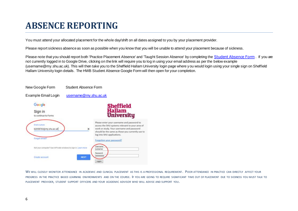## **ABSENCE REPORTING**

You must attend your allocated placement for the whole day/shift on all dates assigned to you by your placement provider.

Please report sickness absence as soon as possible when you know that you will be unable to attend your placement because of sickness.

Please note that you should report both 'Practice Placement Absence' and 'Taught Session Absence' by completing the [Student Absence Form](https://docs.google.com/forms/d/e/1FAIpQLSdzs7Q-2Vlm070GRz0akFpY-27U3Okg9kAkWqrWxi4SpdJ2XA/viewform) . If you are not currently logged in to Google Drive, clicking on the link will require you to log in using your email address as per the below example (username@my.shu.ac.uk). This will then take you to the Sheffield Hallam University login page where you would login using your single sign on Sheffield Hallam University login details. The HWB Student Absence Google Form will then open for your completion.



WE WILL CLOSELY MONITOR ATTENDANCE IN ACADEMIC AND CLINICAL PLACEMENT AS THIS IS A PROFESSIONAL REQUIREMENT. POOR ATTENDANCE IN PRACTICE CAN DIRECTLY AFFECT YOUR PROGRESS IN THE PRACTICE BASED LEARNING ENVIRONMENTS AND ON THE COURSE. IF YOU ARE GOING TO REQUIRE SIGNIFICANT TIME OUT OF PLACEMENT DUE TO SICKNESS YOU MUST TALK TO PLACEMENT PROVIDER, STUDENT SUPPORT OFFICERS AND YOUR ACADEMIC ADVISOR WHO WILL ADVISE AND SUPPORT YOU.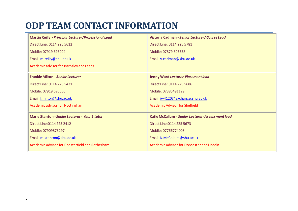## **ODP TEAM CONTACT INFORMATION**

| <b>Martin Reilly - Principal Lecturer/Professional Lead</b> | Victoria Cadman - Senior Lecturer/Course Lead     |
|-------------------------------------------------------------|---------------------------------------------------|
| Direct Line: 0114 225 5612                                  | Direct Line: 0114 225 5781                        |
| Mobile: 07919 696004                                        | Mobile: 07879 803338                              |
| Email: m.reilly@shu.ac.uk                                   | Email: v.cadman@shu.ac.uk                         |
| Academic advisor for Barnsley and Leeds                     |                                                   |
| <b>Frankie Milton - Senior Lecturer</b>                     | Jenny Ward Lecturer-Placement lead                |
| Direct Line: 0114 225 5431                                  | Direct Line: 0114 225 5686                        |
| Mobile: 07919 696056                                        | Mobile: 07385491129                               |
| Email: f.milton@shu.ac.uk                                   | Email: jw4120@exchange.shu.ac.uk                  |
| <b>Academic advisor for Nottingham</b>                      | <b>Academic Advisor for Sheffield</b>             |
| <b>Marie Stanton - Senior Lecturer - Year 1 tutor</b>       | Katie McCallum - Senior Lecturer-Assessment lead  |
| Direct Line: 0114 225 2412                                  | Direct Line: 0114 225 5673                        |
| Mobile: 07909873297                                         | Mobile: 07766774008                               |
| Email: m.stanton@shu.ac.uk                                  | Email: K.McCallum@shu.ac.uk                       |
| Academic Advisor for Chesterfield and Rotherham             | <b>Academic Advisor for Doncaster and Lincoln</b> |
|                                                             |                                                   |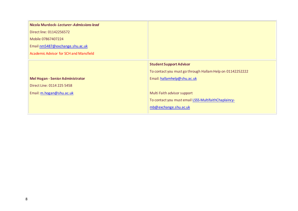| Nicola Murdock-Lecturer-Admissions lead |                                                           |
|-----------------------------------------|-----------------------------------------------------------|
| Direct line: 01142256572                |                                                           |
| Mobile 07867407224                      |                                                           |
| Email nm5487@exchange.shu.ac.uk         |                                                           |
| Academic Advisor for SCH and Mansfield  |                                                           |
|                                         | <b>Student Support Advisor</b>                            |
|                                         | To contact you must go through Hallam Help on 01142252222 |
| <b>Mel Hogan - Senior Administrator</b> | Email: hallamhelp@shu.ac.uk                               |
| Direct Line: 0114 225 5458              |                                                           |
| Email: m.hogan@shu.ac.uk                | Multi Faith advisor support                               |
|                                         | To contact you must email LSSS-MultifaithChaplaincy-      |
|                                         | mb@exchange.shu.ac.uk                                     |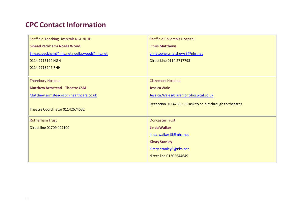#### **CPC Contact Information**

| <b>Sheffield Teaching Hospitals NGH/RHH</b> | Sheffield Children's Hospital                            |
|---------------------------------------------|----------------------------------------------------------|
| <b>Sinead Peckham/Noella Wood</b>           | <b>Chris Matthews</b>                                    |
| Sinead.peckham@nhs.net noella.wood@nhs.net  | christopher.matthews3@nhs.net                            |
| 0114 2715194 NGH                            | Direct Line 0114 2717793                                 |
| 0114 2713247 RHH                            |                                                          |
|                                             |                                                          |
| <b>Thornbury Hospital</b>                   | <b>Claremont Hospital</b>                                |
| <b>Matthew Armstead - Theatre CSM</b>       | <b>Jessica Wale</b>                                      |
| Matthew.armstead@bmihealthcare.co.uk        | Jessica. Wale@claremont-hospital.co.uk                   |
|                                             | Reception 01142630330 ask to be put through to theatres. |
| Theatre Coordinator 01142674532             |                                                          |
| <b>Rotherham Trust</b>                      | <b>Doncaster Trust</b>                                   |
| Direct line 01709 427100                    | <b>Linda Walker</b>                                      |
|                                             | linda.walker15@nhs.net                                   |
|                                             |                                                          |
|                                             | <b>Kirsty Stanley</b>                                    |
|                                             | Kirsty.stanley8@nhs.net                                  |
|                                             | direct line 01302644649                                  |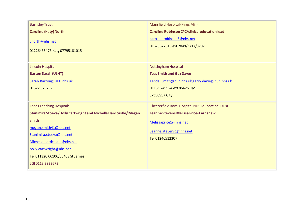| <b>Barnsley Trust</b>                                           | <b>Mansfield Hospital (Kings Mill)</b>                       |
|-----------------------------------------------------------------|--------------------------------------------------------------|
| <b>Caroline (Katy) North</b>                                    | Caroline Robinson CPC/clinical education lead                |
| cnorth@nhs.net<br>01226435473 Katy 07795181015                  | caroline.robinson3@nhs.net<br>01623622515 ext 2049/3717/3707 |
| Lincoln Hospital                                                | <b>Nottingham Hospital</b>                                   |
| <b>Barton Sarah (ULHT)</b>                                      | <b>Tess Smith and Gaz Dawe</b>                               |
| Sarah.Barton@ULH.nhs.uk                                         | Tendai.Smith@nuh.nhs.ukgarry.dawe@nuh.nhs.uk                 |
| 01522 573752                                                    | 0115 9249924 ext 86425 QMC                                   |
|                                                                 | <b>Ext 56957 City</b>                                        |
| <b>Leeds Teaching Hospitals</b>                                 | Chesterfield Royal Hospital NHS Foundation Trust             |
| Stanimira Stoeva/Holly Cartwright and Michelle Hardcastle/Megan | Leanne Stevens Melissa Price-Earnshaw                        |
| smith                                                           | Melissaprice1@nhs.net                                        |
| megan.smith41@nhs.net                                           | Leanne.stevens1@nhs.net                                      |
| Stanimira.stoeva@nhs.net                                        | Tel 01246512307                                              |
| Michelle.hardcastle@nhs.net                                     |                                                              |
| holly.cartwright@nhs.net                                        |                                                              |
| Tel 011320 66106/66403 St James                                 |                                                              |
| LGI 0113 3923673                                                |                                                              |
|                                                                 |                                                              |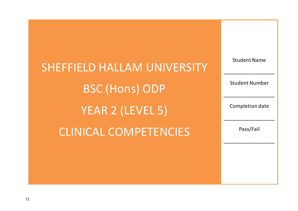SHEFFIELD HALLAM UNIVERSITY BSC (Hons) ODP YEAR 2 (LEVEL 5) CLINICAL COMPETENCIES

Student Name \_\_\_\_\_\_\_\_\_\_\_\_\_\_\_\_\_\_ Student Number \_\_\_\_\_\_\_\_\_\_\_\_\_\_\_\_\_\_ Completion date \_\_\_\_\_\_\_\_\_\_\_\_\_\_\_\_\_\_ Pass/Fail \_\_\_\_\_\_\_\_\_\_\_\_\_\_\_\_\_\_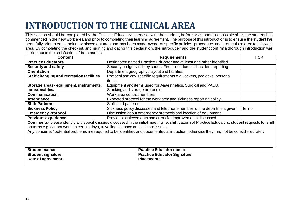# **INTRODUCTION TO THE CLINICAL AREA**

This section should be completed by the Practice Educator/supervisor with the student, before or as soon as possible after, the student has commenced in the new work area and prior to completing their learning agreement. The purpose of this introduction is to ensur e the student has been fully orientated to their new placement area and has been made aware of specific policies, procedures and protocols related to this work area. By completing the checklist, and signing and dating this declaration, the 'introducer' and the student confirm a thorough introduction was carried out to the satisfaction of both parties.

| <b>Content</b>                                                                       | <b>Requirements</b>                                                                                                                                 | TICK |
|--------------------------------------------------------------------------------------|-----------------------------------------------------------------------------------------------------------------------------------------------------|------|
| <b>Practice Educators</b>                                                            | Designated named Practice Educator and at least one other identified.                                                                               |      |
| Security and safety                                                                  | Security badges and key codes. Fire procedure and incident reporting                                                                                |      |
| <b>Orientation</b>                                                                   | Department geography / layout and facilities                                                                                                        |      |
| Staff changing and recreation facilities                                             | Protocol and any specific requirements e.g. lockers, padlocks, personal                                                                             |      |
|                                                                                      | items                                                                                                                                               |      |
| Storage areas-equipment, instruments,                                                | Equipment and items used for Anaesthetics, Surgical and PACU.                                                                                       |      |
| consumables.                                                                         | Stocking and storage protocols                                                                                                                      |      |
| Communication                                                                        | Work area contact numbers                                                                                                                           |      |
| <b>Attendance</b>                                                                    | Expected protocol for the work area and sickness reporting policy.                                                                                  |      |
| <b>Shift Patterns</b>                                                                | Staff shift patterns                                                                                                                                |      |
| <b>Sickness Policy</b>                                                               | Sickness policy discussed and telephone number for the department given<br>tel no.                                                                  |      |
| <b>Emergency Protocol</b>                                                            | Discussion about emergency protocols and location of equipment                                                                                      |      |
| <b>Previous experience</b>                                                           | Previous achievements and areas for improvements discussed                                                                                          |      |
|                                                                                      | Comments- please identify any specific issues discussed in the initial meeting i.e. shift pattern of Practice Educators, student requests for shift |      |
| patterns e.g. cannot work on certain days, travelling distance or child care issues. |                                                                                                                                                     |      |
|                                                                                      | Any concerns / potential problems are required to be identified and documented at induction, otherwise they may not be considered later.            |      |
|                                                                                      |                                                                                                                                                     |      |
|                                                                                      |                                                                                                                                                     |      |
|                                                                                      |                                                                                                                                                     |      |
| <b>Student name:</b>                                                                 | <b>Practice Educator name:</b>                                                                                                                      |      |
| <b>Student signature:</b>                                                            | <b>Practice Educator Signature:</b>                                                                                                                 |      |
| Date of agreement:                                                                   | <b>Placement:</b>                                                                                                                                   |      |
|                                                                                      |                                                                                                                                                     |      |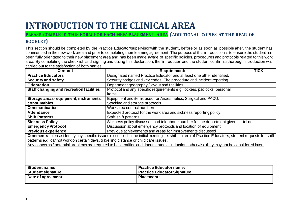## **INTRODUCTION TO THE CLINICAL AREA**

#### **PLEASE COMPLETE THIS FORM FOR EACH NEW PLACEMENT AREA (ADDITIONAL COPIES AT THE REAR OF BOOKLET)**

This section should be completed by the Practice Educator/supervisor with the student, before or as soon as possible after, the student has commenced in the new work area and prior to completing their learning agreement. The purpose of this introduction is to ensure the student has been fully orientated to their new placement area and has been made aware of specific policies, procedures and protocols related to this work area. By completing the checklist, and signing and dating this declaration, the 'introducer' and the student confirm a thorough introduction was carried out to the satisfaction of both parties.

| <b>Content</b>                                                                       | <b>Requirements</b>                                                                                                                                 | <b>TICK</b> |
|--------------------------------------------------------------------------------------|-----------------------------------------------------------------------------------------------------------------------------------------------------|-------------|
| <b>Practice Educators</b>                                                            | Designated named Practice Educator and at least one other identified.                                                                               |             |
| <b>Security and safety</b>                                                           | Security badges and key codes. Fire procedure and incident reporting                                                                                |             |
| <b>Orientation</b>                                                                   | Department geography / layout and facilities                                                                                                        |             |
| Staff changing and recreation facilities                                             | Protocol and any specific requirements e.g. lockers, padlocks, personal                                                                             |             |
|                                                                                      | items                                                                                                                                               |             |
| Storage areas-equipment, instruments,                                                | Equipment and items used for Anaesthetics, Surgical and PACU.                                                                                       |             |
| consumables.                                                                         | Stocking and storage protocols                                                                                                                      |             |
| <b>Communication</b>                                                                 | Work area contact numbers                                                                                                                           |             |
| <b>Attendance</b>                                                                    | Expected protocol for the work area and sickness reporting policy.                                                                                  |             |
| <b>Shift Patterns</b>                                                                | Staff shift patterns                                                                                                                                |             |
| <b>Sickness Policy</b>                                                               | Sickness policy discussed and telephone number for the department given                                                                             | tel no.     |
| <b>Emergency Protocol</b>                                                            | Discussion about emergency protocols and location of equipment                                                                                      |             |
| <b>Previous experience</b>                                                           | Previous achievements and areas for improvements discussed                                                                                          |             |
|                                                                                      | Comments- please identify any specific issues discussed in the initial meeting i.e. shift pattern of Practice Educators, student requests for shift |             |
| patterns e.g. cannot work on certain days, travelling distance or child care issues. |                                                                                                                                                     |             |
|                                                                                      | Any concerns / potential problems are required to be identified and documented at induction, otherwise they may not be considered later.            |             |
|                                                                                      |                                                                                                                                                     |             |
|                                                                                      |                                                                                                                                                     |             |
|                                                                                      |                                                                                                                                                     |             |
|                                                                                      |                                                                                                                                                     |             |
| <b>Student name:</b>                                                                 | <b>Practice Educator name:</b>                                                                                                                      |             |
| <b>Student signature:</b>                                                            | <b>Practice Educator Signature:</b>                                                                                                                 |             |
| Date of agreement:                                                                   | <b>Placement:</b>                                                                                                                                   |             |
|                                                                                      |                                                                                                                                                     |             |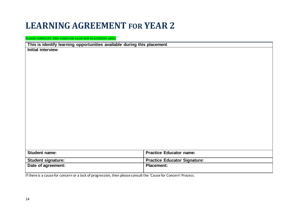### **LEARNING AGREEMENT FOR YEAR 2**

**PLEASE COMPLETE THIS FORM FOR EACH NEW PLACEMENT AREA**

**This is identify learning opportunities available during this placement**

**Initial interview**

| <b>Practice Educator name:</b>      |
|-------------------------------------|
|                                     |
| <b>Practice Educator Signature:</b> |
| <b>Placement:</b>                   |
|                                     |
|                                     |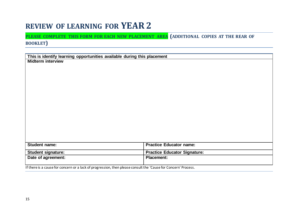#### **REVIEW OF LEARNING FOR YEAR2**

**PLEASE COMPLETE THIS FORM FOR EACH NEW PLACEMENT AREA (ADDITIONAL COPIES AT THE REAR OF BOOKLET)**

|                                                                                                                | This is identify learning opportunities available during this placement |  |  |
|----------------------------------------------------------------------------------------------------------------|-------------------------------------------------------------------------|--|--|
| <b>Midterm interview</b>                                                                                       |                                                                         |  |  |
|                                                                                                                |                                                                         |  |  |
|                                                                                                                |                                                                         |  |  |
|                                                                                                                |                                                                         |  |  |
|                                                                                                                |                                                                         |  |  |
|                                                                                                                |                                                                         |  |  |
|                                                                                                                |                                                                         |  |  |
|                                                                                                                |                                                                         |  |  |
|                                                                                                                |                                                                         |  |  |
|                                                                                                                |                                                                         |  |  |
|                                                                                                                |                                                                         |  |  |
|                                                                                                                |                                                                         |  |  |
|                                                                                                                |                                                                         |  |  |
|                                                                                                                |                                                                         |  |  |
|                                                                                                                |                                                                         |  |  |
| <b>Student name:</b>                                                                                           | <b>Practice Educator name:</b>                                          |  |  |
| <b>Student signature:</b>                                                                                      | <b>Practice Educator Signature:</b>                                     |  |  |
| Date of agreement:                                                                                             | <b>Placement:</b>                                                       |  |  |
| If there is a cause for concern or a lack of progression, then please consult the 'Cause for Concern' Process. |                                                                         |  |  |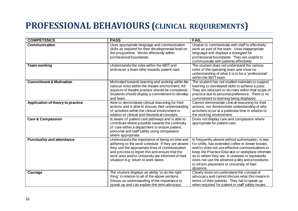## **PROFESSIONAL BEHAVIOURS (CLINICAL REQUIREMENTS)**

| <b>COMPETENCE</b>                  | <b>PASS</b>                                                                                                                                                                                                                                                                                            | <b>FAIL</b>                                                                                                                                                                                                                                                                                                                                                                  |
|------------------------------------|--------------------------------------------------------------------------------------------------------------------------------------------------------------------------------------------------------------------------------------------------------------------------------------------------------|------------------------------------------------------------------------------------------------------------------------------------------------------------------------------------------------------------------------------------------------------------------------------------------------------------------------------------------------------------------------------|
| <b>Communication</b>               | Uses appropriate language and communication<br>skills as required for their developmental level on<br>the programme. Works effectively within<br>professional boundaries                                                                                                                               | Unable to communicate with staff to effectively<br>work as part of the team. Uses inappropriate<br>language and displays a disregard for<br>professional boundaries. They are unable to<br>communicate with patients effectively.                                                                                                                                            |
| Team working                       | Understands the roles within the MDT and<br>embraces a team ethic towards patient care.                                                                                                                                                                                                                | The student does not understand the various<br>roles of the operating team and show no<br>understanding of what it is to be a 'professional'<br>within the MDT team                                                                                                                                                                                                          |
| <b>Commitment &amp; Motivation</b> | Motivated towards learning and working within the<br>various roles within the theatre environment. All<br>aspects of theatre practice should be considered.<br>Students should display a commitment to develop<br>and learn.                                                                           | The student has not studied materials to support<br>learning or developed skills to achieve a pass.<br>They are reluctant to do roles within their scope of<br>practice due to personal preference. There is no<br>commitment to learning being displayed.                                                                                                                   |
| Application of theory to practice  | Able to demonstrate clinical reasoning for their<br>actions and is able to discuss their understanding<br>of activities within the clinical environment in<br>relation to clinical and theoretical concepts.                                                                                           | Cannot demonstrate clinical reasoning for their<br>actions, nor demonstrate understanding of why<br>activities occur at a particular time in relation to<br>the working environment.                                                                                                                                                                                         |
| <b>Care &amp; Compassion</b>       | Is aware of patient care pathways and is able to<br>contribute where possible towards the continuity<br>of care within a department to ensure patient,<br>personal and staff safety using compassion<br>where appropriate.                                                                             | Does not display care and compassion where<br>appropriate for patient care.                                                                                                                                                                                                                                                                                                  |
| <b>Punctuality and attendance</b>  | Understands the importance of being on time and<br>adhering to the work schedule. If they are absent<br>they use the appropriate lines of communication<br>and process to report this and ensure that the<br>work area and/or University are informed of their<br>situation e.g. return to work dates. | Is frequently absent without authorisation, is late<br>for shifts, has extended coffee or dinner breaks<br>and/or does not use effective communications to<br>keep the Practice Educator or workplace informed<br>as to where they are. Is unaware or repeatedly<br>does not use the absence polity and procedures<br>to inform placement or University of their<br>absence. |
| Courage                            | The student displays an ability 'to do the right<br>thing' in relation to all of the above sections.<br>Shows an understanding of the importance to<br>speak up and can explain the term advocacy.                                                                                                     | Clearly does not understand the concept of<br>advocacy and cannot discuss what this means in<br>terms of their patients. They fail to speak up<br>when required for patient or staff safety issues.                                                                                                                                                                          |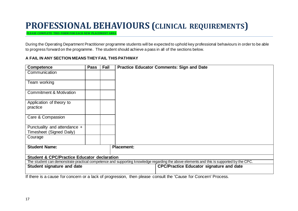### **PROFESSIONAL BEHAVIOURS (CLINICAL REQUIREMENTS)**

**PLEASE COMPLETE THIS FORM FOR EACH NEW PLACEMENT AREA**

During the Operating Department Practitioner programme students will be expected to uphold key professional behaviours in order to be able to progress forward on the programme. The student should achieve a pass in all of the sections below.

| Competence                                             | <b>Pass</b> | <b>Fail</b> | <b>Practice Educator Comments: Sign and Date</b>                                                                                         |
|--------------------------------------------------------|-------------|-------------|------------------------------------------------------------------------------------------------------------------------------------------|
| Communication                                          |             |             |                                                                                                                                          |
|                                                        |             |             |                                                                                                                                          |
| Team working                                           |             |             |                                                                                                                                          |
|                                                        |             |             |                                                                                                                                          |
| <b>Commitment &amp; Motivation</b>                     |             |             |                                                                                                                                          |
|                                                        |             |             |                                                                                                                                          |
|                                                        |             |             |                                                                                                                                          |
| Application of theory to                               |             |             |                                                                                                                                          |
| practice                                               |             |             |                                                                                                                                          |
|                                                        |             |             |                                                                                                                                          |
| Care & Compassion                                      |             |             |                                                                                                                                          |
|                                                        |             |             |                                                                                                                                          |
| Punctuality and attendance +                           |             |             |                                                                                                                                          |
| Timesheet (Signed Daily)                               |             |             |                                                                                                                                          |
| Courage                                                |             |             |                                                                                                                                          |
|                                                        |             |             |                                                                                                                                          |
| <b>Student Name:</b>                                   |             |             | <b>Placement:</b>                                                                                                                        |
|                                                        |             |             |                                                                                                                                          |
|                                                        |             |             |                                                                                                                                          |
| <b>Student &amp; CPC/Practice Educator declaration</b> |             |             |                                                                                                                                          |
|                                                        |             |             | The student can demonstrate practical competence and supporting knowledge regarding the above elements and this is supported by the CPC. |
| Student signature and date                             |             |             | <b>CPC/Practice Educator signature and date</b>                                                                                          |
|                                                        |             |             |                                                                                                                                          |
|                                                        |             |             | If there is a cause for concern or a lack of progression, then please consult the 'Cause for Concern' Process.                           |

#### **A FAIL IN ANY SECTION MEANS THEY FAIL THIS PATHWAY**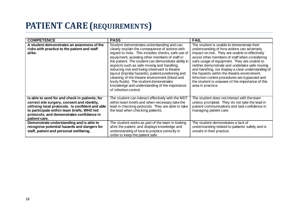## **PATIENT CARE (REQUIREMENTS)**

| <b>COMPETENCE</b>                                                                                                                                                                                                                                             | <b>PASS</b>                                                                                                                                                                                                                                                                                                                                                                                                                                                                                                                                                                            | <b>FAIL</b>                                                                                                                                                             |
|---------------------------------------------------------------------------------------------------------------------------------------------------------------------------------------------------------------------------------------------------------------|----------------------------------------------------------------------------------------------------------------------------------------------------------------------------------------------------------------------------------------------------------------------------------------------------------------------------------------------------------------------------------------------------------------------------------------------------------------------------------------------------------------------------------------------------------------------------------------|-------------------------------------------------------------------------------------------------------------------------------------------------------------------------|
| A student demonstrates an awareness of the<br>risks with practice to the patient and staff<br>alike.                                                                                                                                                          | Student demonstrates understanding and can<br>clearly explain the consequence of actions with<br>regard to risks. This includes checks, safe use of<br>equipment, assisting other members of staff or<br>the patient. The student can demonstrate ability in<br>aspects such as safe moving and handling,<br>reducing risk and being observant to theatre<br>layout (trip/slip hazards), patient positioning and<br>cleaning of the theatre environment (blood and<br>body fluids). The student demonstrates<br>knowledge and understanding of the importance<br>of infection control. |                                                                                                                                                                         |
| Is able to send for and check in patients; for<br>correct site surgery, consent and identity,<br>utilising local protocols. Is confident and able<br>to participate within team briefs, WHO led<br>protocols, and demonstrates confidence in<br>patient care. | The student can interact effectively with the MDT<br>within team briefs and when necessary take the<br>lead in checking protocols. They are able to take<br>the lead when checking patients.                                                                                                                                                                                                                                                                                                                                                                                           | The student does not interact with the team<br>unless prompted. They do not take the lead in<br>patient communications and lack confidence in<br>managing patient care. |
| Demonstrate understanding and is able to<br>recognise potential hazards and dangers for<br>staff, patient and personal wellbeing.                                                                                                                             | The student works as part of the team in looking<br>after the patient, and displays knowledge and<br>understanding of how to practice correctly in<br>order to keep the patient safe.                                                                                                                                                                                                                                                                                                                                                                                                  | The student demonstrates a lack of<br>understanding related to patients' safety and is<br>unsafe in their practice.                                                     |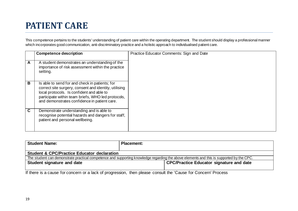## **PATIENT CARE**

This competence pertains to the students' understanding of patient care within the operating department. The student should display a professional manner which incorporates good communication, anti-discriminatory practice and a holistic approach to individualised patient care.

|   | <b>Competence description</b>                                                                                                                                                                                                                              | Practice Educator Comments: Sign and Date |
|---|------------------------------------------------------------------------------------------------------------------------------------------------------------------------------------------------------------------------------------------------------------|-------------------------------------------|
| A | A student demonstrates an understanding of the<br>importance of risk assessment within the practice<br>setting.                                                                                                                                            |                                           |
| В | Is able to send for and check in patients; for<br>correct site surgery, consent and identity, utilising<br>local protocols. Is confident and able to<br>participate within team briefs, WHO led protocols,<br>and demonstrates confidence in patient care. |                                           |
| C | Demonstrate understanding and is able to<br>recognise potential hazards and dangers for staff,<br>patient and personal wellbeing.                                                                                                                          |                                           |

| <b>Student Name:</b>                                                                                                                     | <b>Placement:</b> |                                          |  |
|------------------------------------------------------------------------------------------------------------------------------------------|-------------------|------------------------------------------|--|
| <b>Student &amp; CPC/Practice Educator declaration</b>                                                                                   |                   |                                          |  |
| The student can demonstrate practical competence and supporting knowledge regarding the above elements and this is supported by the CPC. |                   |                                          |  |
| Student signature and date                                                                                                               |                   | CPC/Practice Educator signature and date |  |
|                                                                                                                                          |                   |                                          |  |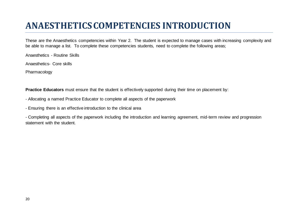## **ANAESTHETICSCOMPETENCIES INTRODUCTION**

These are the Anaesthetics competencies within Year 2. The student is expected to manage cases with increasing complexity and be able to manage a list. To complete these competencies students, need to complete the following areas;

Anaesthetics - Routine Skills

Anaesthetics- Core skills

Pharmacology

**Practice Educators** must ensure that the student is effectively supported during their time on placement by:

- Allocating a named Practice Educator to complete all aspects of the paperwork
- Ensuring there is an effective introduction to the clinical area

- Completing all aspects of the paperwork including the introduction and learning agreement, mid-term review and progression statement with the student.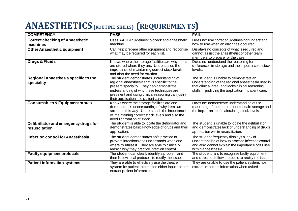## **ANAESTHETICS(ROUTINE SKILLS) (REQUIREMENTS)**

| <b>COMPETENCY</b>                                      | <b>PASS</b>                                                                                                                                                                                                                                                                      | <b>FAIL</b>                                                                                                                                                                                               |
|--------------------------------------------------------|----------------------------------------------------------------------------------------------------------------------------------------------------------------------------------------------------------------------------------------------------------------------------------|-----------------------------------------------------------------------------------------------------------------------------------------------------------------------------------------------------------|
| <b>Correct checking of Anaesthetic</b><br>machines     | Uses AAGBI guidelines to check and anaesthetic<br>machine.                                                                                                                                                                                                                       | Does not use correct guidelines nor understand<br>how to use when an error has occurred.                                                                                                                  |
| <b>Other Anaesthetic Equipment</b>                     | Can help prepare other equipment and recognise<br>what may be required for each list.                                                                                                                                                                                            | Displays no concepts of what is required and<br>cannot assist the anaesthetist or other team<br>members to prepare for the case.                                                                          |
| <b>Drugs &amp; Fluids</b>                              | Knows where the storage facilities are why items<br>are stored where they are. Understands the<br>importance of maintaining correct stock levels<br>and also the need for rotation.                                                                                              | Does not understand the reasoning for<br>differences in storage and the importance of stock<br>levels.                                                                                                    |
| Regional Anaesthesia specific to the<br>speciality     | The student demonstrates understanding of<br>regional anaesthesia that is specific to the<br>present speciality. They can demonstrate<br>understanding of why these techniques are<br>prevalent and using clinical reasoning can justify<br>their application into patient care. | The student is unable to demonstrate an<br>understanding of the regional anaesthesia used in<br>that clinical area, and lacks clinical reasoning<br>skills in justifying the application in patient care. |
| <b>Consumables &amp; Equipment stores</b>              | Knows where the storage facilities are and<br>demonstrates understanding of why items are<br>stored in this way. Understands the importance<br>of maintaining correct stock levels and also the<br>need for rotation of stock.                                                   | Does not demonstrate understanding of the<br>reasoning of the requirement for safe storage and<br>the importance of maintaining stock levels.                                                             |
| Defibrillator and emergency drugs for<br>resuscitation | The student is able to locate the defibrillator and<br>demonstrates basic knowledge of drugs and their<br>application.                                                                                                                                                           | The student is unable to locate the defibrillator<br>and demonstrates lack of understanding of drugs<br>application within resuscitation.                                                                 |
| Infection control for Anaesthesia                      | The student demonstrates safe practice to<br>prevent infections and understands when and<br>where to utilise it. They are able to clinically<br>reason why they practice infection control.                                                                                      | The student frequently displays a lack of<br>understanding of how to practice infection control<br>and also cannot explain the importance of its use<br>within anaesthesia.                               |
| <b>Faulty equipment protocols</b>                      | The student can clearly identify a problem and<br>then follow local protocols to rectify the issue.                                                                                                                                                                              | The student fails to recognise faulty equipment<br>and does not follow protocols to rectify the issue.                                                                                                    |
| <b>Patient information systems</b>                     | They are able to effectively use the theatre<br>system for patient information either input data or<br>extract patient information.                                                                                                                                              | They are unable to use the patient system, nor<br>extract important information when asked.                                                                                                               |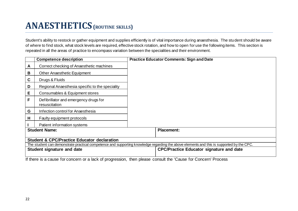## **ANAESTHETICS(ROUTINE SKILLS)**

Student's ability to restock or gather equipment and supplies efficiently is of vital importance during anaesthesia. The student should be aware of where to find stock, what stock levels are required, effective stock rotation, and how to open for use the following items. This section is repeated in all the areas of practice to encompass variation between the specialities and their environment.

|             | <b>Competence description</b>                          | <b>Practice Educator Comments: Sign and Date</b>                                                                                         |
|-------------|--------------------------------------------------------|------------------------------------------------------------------------------------------------------------------------------------------|
| A           | Correct checking of Anaesthetic machines               |                                                                                                                                          |
| B           | <b>Other Anaesthetic Equipment</b>                     |                                                                                                                                          |
| $\mathbf c$ | Drugs & Fluids                                         |                                                                                                                                          |
| D           | Regional Anaesthesia specific to the speciality        |                                                                                                                                          |
| Е           | Consumables & Equipment stores                         |                                                                                                                                          |
| F           | Defibrillator and emergency drugs for<br>resuscitation |                                                                                                                                          |
| G           | Infection control for Anaesthesia                      |                                                                                                                                          |
| H           | Faulty equipment protocols                             |                                                                                                                                          |
|             | Patient information systems                            |                                                                                                                                          |
|             | <b>Student Name:</b>                                   | <b>Placement:</b>                                                                                                                        |
|             | <b>Student &amp; CPC/Practice Educator declaration</b> |                                                                                                                                          |
|             |                                                        | The student can demonstrate practical competence and supporting knowledge regarding the above elements and this is supported by the CPC. |
|             | <b>Student signature and date</b>                      | <b>CPC/Practice Educator signature and date</b>                                                                                          |
|             |                                                        | If there is a cause for concern or a lack of progression, then please consult the 'Cause for Concern' Process                            |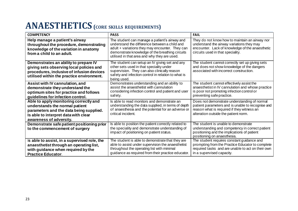### **ANAESTHETICS(CORE SKILLS REQUIREMENTS)**

| <b>COMPETENCY</b>                                                                                                                                                                      | <b>PASS</b>                                                                                                                                                                                                                                          | <b>FAIL</b>                                                                                                                                                                             |
|----------------------------------------------------------------------------------------------------------------------------------------------------------------------------------------|------------------------------------------------------------------------------------------------------------------------------------------------------------------------------------------------------------------------------------------------------|-----------------------------------------------------------------------------------------------------------------------------------------------------------------------------------------|
| Help manage a patient's airway<br>throughout the procedure, demonstrating<br>knowledge of the variation in anatomy<br>from a child to an adult.                                        | The student can manage a patient's airway and<br>understand the difference between a child and<br>adult + variations they may encounter. They can<br>demonstrate knowledge of the breathing circuits<br>utilised in that area and why they are used. | They do not know how to maintain an airway nor<br>understand the airway variations they may<br>encounter. Lack of knowledge of the anaesthetic<br>circuits used in that speciality.     |
| Demonstrates an ability to prepare IV<br>giving sets observing local policies and<br>procedures, inclusive of infusion devices<br>utilised within the practice environment.            | The student can setup an IV giving set and any<br>other sets used in that speciality under<br>supervision. They can also clinically reason<br>safety and infection control in relation to what is<br>being used.                                     | The student cannot correctly set up giving sets<br>and does not show knowledge of the dangers<br>associated with incorrect construction.                                                |
| Assist with IV cannulation, and<br>demonstrate they understand the<br>optimum sites for practice and follows<br>guidelines for infection control.                                      | Demonstrates understanding and an ability to<br>assist the anaesthetist with cannulation<br>considering infection control and patient and user<br>safety.                                                                                            | The student cannot effectively assist the<br>anaesthetist in IV cannulation and whose practice<br>is poor not promoting infection control or<br>preventing safe practice.               |
| Able to apply monitoring correctly and<br>understands the normal patient<br>parameters and the data being supplied.<br>Is able to interpret data with clear<br>awareness of adversity. | Is able to read monitors and demonstrate an<br>understanding the data supplied, in terms of depth<br>of anaesthesia and the potential for an adverse or<br>critical incident.                                                                        | Does not demonstrate understanding of normal<br>patient parameters and is unable to recognise and<br>reason what is required if they witness an<br>alteration outside the patient norm. |
| Demonstrate safe patient positioning prior<br>to the commencement of surgery                                                                                                           | Is able to position the patient correctly related to<br>the speciality and demonstrate understanding of<br>impact of positioning on patient status.                                                                                                  | The student is unable to demonstrate<br>understanding and competency in correct patient<br>positioning and the implications of patient<br>positioning on anaesthesia.                   |
| Is able to assist, in a supervised role, the<br>anaesthetist through an operating list,<br>with guidance when required by the<br><b>Practice Educator.</b>                             | The student is able to demonstrate that they are<br>able to assist under supervision the anaesthetist<br>throughout the operating list with minimal<br>guidance as required from their practice educator.                                            | The student requires constant guidance and<br>prompting from the Practice Educator to complete<br>required tasks and are unable to act on their own<br>in a supervised capacity.        |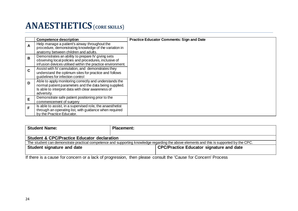#### **ANAESTHETICS**(**CORE SKILLS**)

|              | <b>Competence description</b>                              | <b>Practice Educator Comments: Sign and Date</b> |
|--------------|------------------------------------------------------------|--------------------------------------------------|
|              | Help manage a patient's airway throughout the              |                                                  |
| $\mathbf{A}$ | procedure, demonstrating knowledge of the variation in     |                                                  |
|              | anatomy between children and adults.                       |                                                  |
| B            | Demonstrates an ability to prepare IV giving sets          |                                                  |
|              | observing local policies and procedures, inclusive of      |                                                  |
|              | infusion devices utilised within the practice environment. |                                                  |
| C            | Assist with IV cannulation, and demonstrates they          |                                                  |
|              | understand the optimum sites for practice and follows      |                                                  |
|              | guidelines for infection control                           |                                                  |
| D            | Able to apply monitoring correctly and understands the     |                                                  |
|              | normal patient parameters and the data being supplied.     |                                                  |
|              | Is able to interpret data with clear awareness of          |                                                  |
|              | adversity.                                                 |                                                  |
|              | Demonstrate safe patient positioning prior to the          |                                                  |
| E            |                                                            |                                                  |
|              | commencement of surgery                                    |                                                  |
| F            | Is able to assist, in a supervised role, the anaesthetist  |                                                  |
|              | through an operating list, with guidance when required     |                                                  |
|              | by the Practice Educator.                                  |                                                  |

| <b>Student Name:</b>                                                                                                                     | <b>Placement:</b> |                                          |
|------------------------------------------------------------------------------------------------------------------------------------------|-------------------|------------------------------------------|
|                                                                                                                                          |                   |                                          |
| <b>Student &amp; CPC/Practice Educator declaration</b>                                                                                   |                   |                                          |
| The student can demonstrate practical competence and supporting knowledge regarding the above elements and this is supported by the CPC. |                   |                                          |
| <b>Student signature and date</b>                                                                                                        |                   | CPC/Practice Educator signature and date |
|                                                                                                                                          |                   |                                          |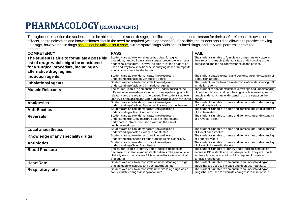### **PHARMACOLOGY(REQUIREMENTS)**

Throughout this section the student should be able to name, discuss dosage, specific storage requirements, reason for their use/ preference, known side effects, contraindications and know antidotes should the need be required (when appropriate). If possible, the student should be allowed to practice drawing up drugs, however these drugs should not be utilised for a case, but be 'spare' drugs, vials or simulated drugs, and only with permission from the anaesthetist.

| <b>COMPETENCY</b>                                                                                                                                            | <b>PASS</b>                                                                                                                                                                                                                                                                                            | <b>FAIL</b>                                                                                                                                                                                                       |
|--------------------------------------------------------------------------------------------------------------------------------------------------------------|--------------------------------------------------------------------------------------------------------------------------------------------------------------------------------------------------------------------------------------------------------------------------------------------------------|-------------------------------------------------------------------------------------------------------------------------------------------------------------------------------------------------------------------|
| The student is able to formulate a possible<br>list of drugs which might be considered<br>for a surgical procedure, including an<br>alternative drug regime. | Students are able to formulate a drug chart for a given<br>procedure, ranging from a minor surgical procedure to a major<br>abdominal procedure. They will be able to list the drugs to be<br>used and why for a specific case, identifying doses, therapeutic<br>effects, side effects for the below. | The student is unable to formulate a drug chart for a case in<br>theatre, and is unable to demonstrate understanding of the<br>drugs used and the risks they impose on the patient.                               |
| Induction agents                                                                                                                                             | Students are able to demonstrate knowledge and<br>understanding of at least 2 induction agents                                                                                                                                                                                                         | The student unable to name and demonstrate understanding of<br>2 induction agents.                                                                                                                                |
| <b>Inhalational agents</b>                                                                                                                                   | Students are able to demonstrate knowledge and<br>understanding of at least 3 inhalational agents.                                                                                                                                                                                                     | The student unable to name or demonstrate understanding of 3<br>inhalation agents                                                                                                                                 |
| <b>Muscle Relaxants</b>                                                                                                                                      | The student is able to demonstrate an understanding of the<br>difference between depolarising and non-depolarising muscle<br>relaxants and the impact on the patient. The student is able to<br>identify 1 depolarising and 3 non-depolarising muscle relaxants                                        | The student cannot demonstrate knowledge and understanding<br>of non-depolarising and depolarising muscle relaxants, and is<br>unable to demonstrate understanding of the impact on the<br>patient.               |
| <b>Analgesics</b>                                                                                                                                            | Students are able to demonstrate knowledge and<br>understanding of at least 5 pain medications used in theatre                                                                                                                                                                                         | The student is unable to name and demonstrate understanding<br>of 5 pain medications                                                                                                                              |
| <b>Anti-Emetics</b>                                                                                                                                          | Students are able to demonstrate knowledge and<br>understanding of least 2 anti-emetics                                                                                                                                                                                                                | The student is unable to name and demonstrate understanding<br>of 2 anti-emetics                                                                                                                                  |
| <b>Reversals</b>                                                                                                                                             | Students are able to demonstrate knowledge and<br>understanding of 1 reversal drug used in theatre, and<br>participate in clinical discussions around the use of<br>combination drugs                                                                                                                  | The student is unable to name and demonstrate understanding<br>of a reversal agent                                                                                                                                |
| <b>Local anaesthetics</b>                                                                                                                                    | Students are able to demonstrate knowledge and<br>understanding of at least 4 local anaesthetics                                                                                                                                                                                                       | The student is unable to name and demonstrate understanding<br>of 4 local anaesthetics                                                                                                                            |
| Knowledge of any speciality drugs                                                                                                                            | Students are able to demonstrate knowledge and<br>understanding of specialist drugs utilised within a speciality.                                                                                                                                                                                      | The student is unable to name and demonstrate understanding<br>of a speciality drug                                                                                                                               |
| <b>Antibiotics</b>                                                                                                                                           | Students are able to demonstrate knowledge and<br>understanding of least 3 antibiotics                                                                                                                                                                                                                 | The student is unable to name and demonstrate understanding<br>of 3 antibiotics used in theatre                                                                                                                   |
| <b>Blood Pressure</b>                                                                                                                                        | The student is able to identify drugs that can increase or<br>decrease BP in stable and unstable patients. They are able to<br>clinically reason why a low BP is required for certain surgical<br>procedures.                                                                                          | The student is unable to identify drugs that can increase or<br>decrease BP in stable and unstable patients. They are unable<br>to clinically reason why a low BP is required for certain<br>surgical procedures. |
| <b>Heart Rate</b>                                                                                                                                            | Students are able to demonstrate an understanding of drugs<br>that are used to increase and decrease heart rate.                                                                                                                                                                                       | The student is unable to demonstrate an understanding of<br>drugs that are used to increase and decrease heart rate.                                                                                              |
| <b>Respiratory rate</b>                                                                                                                                      | Students are able to demonstrate understanding drugs which<br>can stimulate changes in respiration rate.                                                                                                                                                                                               | The student is unable to demonstrate an understanding of<br>drugs that are used to stimulate changes in respiration rate.                                                                                         |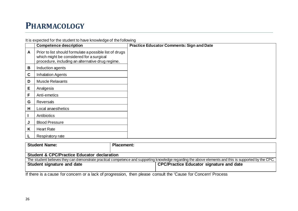#### **PHARMACOLOGY**

It is expected for the student to have knowledge of the following

|              | <b>Competence description</b>                                                                                                                           | <b>Practice Educator Comments: Sign and Date</b> |
|--------------|---------------------------------------------------------------------------------------------------------------------------------------------------------|--------------------------------------------------|
| $\mathsf{A}$ | Prior to list should formulate a possible list of drugs<br>which might be considered for a surgical<br>procedure, including an alternative drug regime. |                                                  |
| B            | Induction agents                                                                                                                                        |                                                  |
| $\mathbf c$  | <b>Inhalation Agents</b>                                                                                                                                |                                                  |
| D            | <b>Muscle Relaxants</b>                                                                                                                                 |                                                  |
| E            | Analgesia                                                                                                                                               |                                                  |
| F            | Anti-emetics                                                                                                                                            |                                                  |
| G            | <b>Reversals</b>                                                                                                                                        |                                                  |
| н            | Local anaesthetics                                                                                                                                      |                                                  |
|              | Antibiotics                                                                                                                                             |                                                  |
| J            | <b>Blood Pressure</b>                                                                                                                                   |                                                  |
| Κ            | <b>Heart Rate</b>                                                                                                                                       |                                                  |
|              | Respiratory rate                                                                                                                                        |                                                  |

| <b>Student Name:</b>                                   | <b>Placement:</b>                                                                                                                                      |  |
|--------------------------------------------------------|--------------------------------------------------------------------------------------------------------------------------------------------------------|--|
| <b>Student &amp; CPC/Practice Educator declaration</b> | The student believes they can demonstrate practical competence and supporting knowledge regarding the above elements and this is supported by the CPC. |  |
| <b>Student signature and date</b>                      | <b>CPC/Practice Educator signature and date</b>                                                                                                        |  |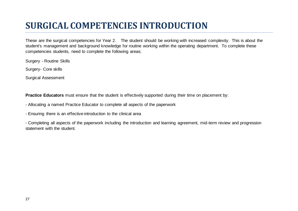## **SURGICAL COMPETENCIES INTRODUCTION**

These are the surgical competencies for Year 2. The student should be working with increased complexity. This is about the student's management and background knowledge for routine working within the operating department. To complete these competencies students, need to complete the following areas;

Surgery - Routine Skills

Surgery- Core skills

Surgical Assessment

**Practice Educators** must ensure that the student is effectively supported during their time on placement by:

- Allocating a named Practice Educator to complete all aspects of the paperwork
- Ensuring there is an effective introduction to the clinical area

- Completing all aspects of the paperwork including the introduction and learning agreement, mid-term review and progression statement with the student.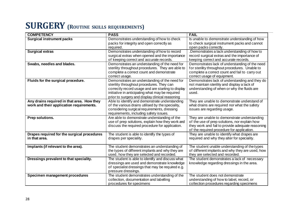## **SURGERY (ROUTINE SKILLS REQUIREMENTS)**

| <b>COMPETENCY</b>                           | <b>PASS</b>                                                                                           | <b>FAIL</b>                                                                                       |
|---------------------------------------------|-------------------------------------------------------------------------------------------------------|---------------------------------------------------------------------------------------------------|
| <b>Surgical instrument packs</b>            | Demonstrates understanding of how to check                                                            | Is unable to demonstrate understanding of how                                                     |
|                                             | packs for integrity and open correctly as<br>required.                                                | to check surgical instrument packs and cannot<br>open packs correctly.                            |
| <b>Surgical extras</b>                      | Demonstrates understanding of how to record                                                           | .Demonstrates a lack understanding of how to                                                      |
|                                             | surgical extras when opened and the importance<br>of keeping correct and accurate records.            | record surgical extras and the importance of<br>keeping correct and accurate records.             |
| Swabs, needles and blades.                  | Demonstrates an understanding of the need for                                                         | Demonstrates lack of understanding of the need                                                    |
|                                             | sterility throughout procedures. They are able to                                                     | for sterility throughout procedures. Unable to                                                    |
|                                             | complete a correct count and demonstrate<br>correct usage.                                            | complete a correct count and fail to carry out<br>correct usage of equipment.                     |
| Fluids for the surgical procedure.          | Demonstrates an understanding of the need for                                                         | Demonstrates lack of understanding and they do                                                    |
|                                             | sterility throughout procedures. They can                                                             | not maintain sterility and display a lack of                                                      |
|                                             | correctly record usage and are starting to display<br>initiative in anticipating what may be required | understanding of when or why the fluids are<br>used.                                              |
|                                             | prior to surgery and display clinical reasoning                                                       |                                                                                                   |
| Any drains required in that area. How they  | Able to identify and demonstrate understanding                                                        | They are unable to demonstrate understand of                                                      |
| work and their application requirements.    | of the various drains utilised by the speciality,                                                     | what drains are required nor what the safety                                                      |
|                                             | considering surgical requirements, dressing                                                           | issues are regarding usage.                                                                       |
|                                             | requirements, including safety issues.                                                                |                                                                                                   |
| Prep solutions.                             | Are able to demonstrate understanding of the                                                          | They are unable to demonstrate understanding                                                      |
|                                             | use of prep solutions, explain how they work and<br>discuss the required procedure for application.   | of the use of prep solutions, nor explain how<br>they work and fail to provide adequate reasoning |
|                                             |                                                                                                       | of the required procedure for application.                                                        |
| Drapes required for the surgical procedures | The student is able to identify the types of                                                          | They are unable to identify what drapes are                                                       |
| in that area.                               | drapes per speciality.                                                                                | required and why they alter for speciality.                                                       |
|                                             |                                                                                                       |                                                                                                   |
| Implants (if relevant to the area).         | The student demonstrates an understanding of<br>the types of different implants and why they are      | The student unable understanding of the types<br>of different implants and why they are used, how |
|                                             | used, how they are selected and recorded.                                                             | they are selected and recorded.                                                                   |
| Dressings prevalent to that speciality.     | The student is able to identify and discuss what                                                      | The student demonstrates a lack of necessary                                                      |
|                                             | dressings are used and demonstrate knowledge                                                          | knowledge regarding dressings in the area.                                                        |
|                                             | of specialist dressings that may be required e.g.                                                     |                                                                                                   |
|                                             | pressure dressings.                                                                                   |                                                                                                   |
| Specimen management procedures              | The student demonstrates understanding of the                                                         | The student does not demonstrate                                                                  |
|                                             | collection, documentation and labelling                                                               | understanding of how to label, record, or                                                         |
|                                             | procedures for specimens                                                                              | collection procedures regarding specimens                                                         |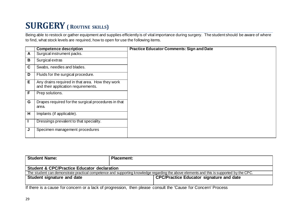## **SURGERY( <sup>R</sup>OUTINE SKILLS)**

Being able to restock or gather equipment and supplies efficiently is of vital importance during surgery. The student should be aware of where to find, what stock levels are required, how to open for use the following items.

|              | <b>Competence description</b>                                                          | <b>Practice Educator Comments: Sign and Date</b> |
|--------------|----------------------------------------------------------------------------------------|--------------------------------------------------|
| $\mathsf{A}$ | Surgical instrument packs.                                                             |                                                  |
| B            | Surgical extras                                                                        |                                                  |
| $\mathbf C$  | Swabs, needles and blades.                                                             |                                                  |
| D            | Fluids for the surgical procedure.                                                     |                                                  |
| Е            | Any drains required in that area. How they work<br>and their application requirements. |                                                  |
| $\mathsf F$  | Prep solutions.                                                                        |                                                  |
| G            | Drapes required for the surgical procedures in that<br>area.                           |                                                  |
| H            | Implants (if applicable).                                                              |                                                  |
| J.           | Dressings prevalent to that speciality.                                                |                                                  |
| J            | Specimen management procedures                                                         |                                                  |

| <b>Placement:</b>                                                                                                                        |  |  |
|------------------------------------------------------------------------------------------------------------------------------------------|--|--|
| <b>Student &amp; CPC/Practice Educator declaration</b>                                                                                   |  |  |
| The student can demonstrate practical competence and supporting knowledge regarding the above elements and this is supported by the CPC. |  |  |
| <b>CPC/Practice Educator signature and date</b>                                                                                          |  |  |
|                                                                                                                                          |  |  |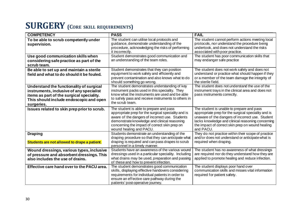### $SURGERN$  (CORE SKILL REQUIREMENTS)

| <b>COMPETENCY</b>                                                                                                                                                                          | <b>PASS</b>                                                                                                                                                                                                                                                                   | <b>FAIL</b>                                                                                                                                                                                                                                                                |
|--------------------------------------------------------------------------------------------------------------------------------------------------------------------------------------------|-------------------------------------------------------------------------------------------------------------------------------------------------------------------------------------------------------------------------------------------------------------------------------|----------------------------------------------------------------------------------------------------------------------------------------------------------------------------------------------------------------------------------------------------------------------------|
| To be able to scrub competently under<br>supervision.                                                                                                                                      | The student can utilise local protocols and<br>guidance, demonstrate understanding of the                                                                                                                                                                                     | The student cannot perform actions meeting local<br>protocols, nor understand the procedure being                                                                                                                                                                          |
|                                                                                                                                                                                            | procedure, acknowledging the risks of performing<br>it incorrectly.                                                                                                                                                                                                           | undertook, and does not understand the risks<br>associated with poor practice.                                                                                                                                                                                             |
| Use good communication skills when<br>considering safe practice as part of the<br>scrub team.                                                                                              | Student demonstrates good communication and<br>an understanding of the team roles.                                                                                                                                                                                            | The student has poor communication skills that<br>may endanger safe practice                                                                                                                                                                                               |
| Be able to set up and maintain a sterile<br>field and what to do should it be fouled.                                                                                                      | Student demonstrates that they can position<br>equipment to work safely and efficiently and<br>prevent contamination and also knows what to do<br>should something go wrong.                                                                                                  | The student does not work safely and does not<br>understand or practice what should happen if they<br>or a member of the team damage the integrity of<br>the sterile field.                                                                                                |
| Understand the functionality of surgical<br>instruments, inclusive of any specialist<br>items as part of the surgical speciality.<br>This should include endoscopic and open<br>surgeries. | The student demonstrates understanding of key<br>instrument packs used in this speciality. They<br>know what the instruments are used and be able<br>to safely pass and receive instruments to others in<br>the scrub team.                                                   | The student does not understand the use of the<br>instrument trays in the clinical area and does not<br>pass instruments correctly.                                                                                                                                        |
| Issues related to skin prep prior to scrub.                                                                                                                                                | The student is able to prepare and pass<br>appropriate prep for the surgical speciality and is<br>aware of the dangers of incorrect use. Students<br>demonstrate knowledge and clinical reasoning<br>concerning the impact of correct skin prep on<br>wound healing and PACU. | The student is unable to prepare and pass<br>appropriate prep for the surgical speciality and is<br>unaware of the dangers of incorrect use. Student<br>lacks knowledge and clinical reasoning concerning<br>the impact of correct skin prep on wound healing<br>and PACU. |
| <b>Draping</b><br>Students are not allowed to drape a patient.                                                                                                                             | Students demonstrate an understanding of the<br>draping procedure so that they can anticipate what<br>draping is required and can pass drapes to scrub<br>personnel in a timely manner.                                                                                       | They do not practice within their scope of practice<br>and/or does not understand or anticipate what is<br>required when draping.                                                                                                                                          |
| Wound dressings, various types, inclusive<br>of pressure and absorbent dressings. This<br>also includes the use of drains.                                                                 | Students have an awareness of the various wound<br>dressings used in a particular speciality. Including<br>what drains may be used, preparation and passing<br>of these and how to prevent infection.                                                                         | The student has no awareness of what dressings<br>are required nor do they understand how they are<br>applied to promote healing and reduce infection.                                                                                                                     |
| Effective care hand over to the PACU area.                                                                                                                                                 | The student demonstrates good communication<br>skills, displaying effective handovers considering<br>requirements for individual patients in order to<br>ensure an effective care pathway during the<br>patients' post-operative journey.                                     | The student displays poor hand over<br>communication skills and misses vital information<br>required for patient safety.                                                                                                                                                   |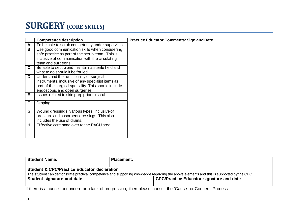### **SURGERY(CORE SKILLS)**

|   | <b>Competence description</b>                                              | <b>Practice Educator Comments: Sign and Date</b> |
|---|----------------------------------------------------------------------------|--------------------------------------------------|
| Α | To be able to scrub competently under supervision.                         |                                                  |
| в | Use good communication skills when considering                             |                                                  |
|   | safe practice as part of the scrub team. This is                           |                                                  |
|   | inclusive of communication with the circulating                            |                                                  |
|   | team and surgeons                                                          |                                                  |
| C | Be able to set up and maintain a sterile field and                         |                                                  |
|   | what to do should it be fouled.                                            |                                                  |
| D | Understand the functionality of surgical                                   |                                                  |
|   | instruments, inclusive of any specialist items as                          |                                                  |
|   | part of the surgical speciality. This should include                       |                                                  |
|   | endoscopic and open surgeries.                                             |                                                  |
| E | Issues related to skin prep prior to scrub.                                |                                                  |
|   |                                                                            |                                                  |
| F | Draping                                                                    |                                                  |
|   |                                                                            |                                                  |
| G | Wound dressings, various types, inclusive of                               |                                                  |
|   | pressure and absorbent dressings. This also<br>includes the use of drains. |                                                  |
|   |                                                                            |                                                  |
| н | Effective care hand over to the PACU area.                                 |                                                  |
|   |                                                                            |                                                  |
|   |                                                                            |                                                  |

| <b>Student Name:</b>                                                                                                                     | <b>Placement:</b>                               |  |
|------------------------------------------------------------------------------------------------------------------------------------------|-------------------------------------------------|--|
| <b>Student &amp; CPC/Practice Educator declaration</b>                                                                                   |                                                 |  |
| The student can demonstrate practical competence and supporting knowledge regarding the above elements and this is supported by the CPC. |                                                 |  |
| Student signature and date                                                                                                               | <b>CPC/Practice Educator signature and date</b> |  |
|                                                                                                                                          |                                                 |  |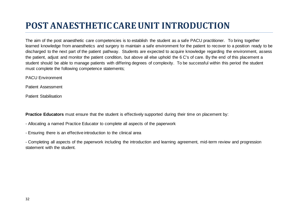## **POST ANAESTHETICCAREUNIT INTRODUCTION**

The aim of the post anaesthetic care competencies is to establish the student as a safe PACU practitioner. To bring together learned knowledge from anaesthetics and surgery to maintain a safe environment for the patient to recover to a position ready to be discharged to the next part of the patient pathway. Students are expected to acquire knowledge regarding the environment, assess the patient, adjust and monitor the patient condition, but above all else uphold the 6 C's of care. By the end of this placement a student should be able to manage patients with differing degrees of complexity. To be successful within this period the student must complete the following competence statements;

PACU Environment

Patient Assessment

Patient Stabilisation

**Practice Educators** must ensure that the student is effectively supported during their time on placement by:

- Allocating a named Practice Educator to complete all aspects of the paperwork
- Ensuring there is an effective introduction to the clinical area

- Completing all aspects of the paperwork including the introduction and learning agreement, mid-term review and progression statement with the student.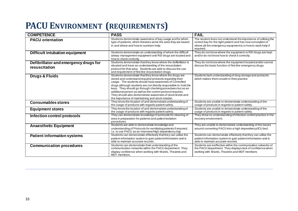## **PACU ENVIRONMENT (REQUIREMENTS)**

| <b>COMPETENCE</b>                                      | <b>PASS</b>                                                                                                                                                                                                                                                                                                                                                                                                                                                                                        | <b>FAIL</b>                                                                                                                                                                                                |
|--------------------------------------------------------|----------------------------------------------------------------------------------------------------------------------------------------------------------------------------------------------------------------------------------------------------------------------------------------------------------------------------------------------------------------------------------------------------------------------------------------------------------------------------------------------------|------------------------------------------------------------------------------------------------------------------------------------------------------------------------------------------------------------|
| <b>PACU orientation</b>                                | Students demonstrate awareness of bay usage and for which<br>type of patients, which theatres serve the area they are based<br>in and where and how to summon help.                                                                                                                                                                                                                                                                                                                                | The student does not understand the importance of utilising the<br>correct bay for the right patient and has now conception of<br>where all the emergency equipment is or how to seek help if<br>required. |
| Difficult intubation equipment                         | Students demonstrate an understanding of where the difficult<br>airway management equipment and RSI drugs are located and<br>how to check correctly.                                                                                                                                                                                                                                                                                                                                               | They do not know where the equipment or RSI drugs are kept<br>and/or do not know how to check it correctly.                                                                                                |
| Defibrillator and emergency drugs for<br>resuscitation | Students demonstrate that they know where the defibrillator is<br>situated and have an understanding of the resuscitation<br>protocol for that area. Students are able to discuss the use<br>and requirement of first line resuscitation drugs.                                                                                                                                                                                                                                                    | They do not know where the equipment located and/or cannot<br>discuss the basic function of first line emergency drugs.                                                                                    |
| Drugs & Fluids                                         | Students demonstrate that they know where the drugs are<br>stored and understand required protocols regarding their<br>usage. The students should have awareness of Controlled<br>drugs although students are not directly responsible to hold the<br>keys. They should go through checking procedures but as an<br>additional person as well as the current protocol requires.<br>They should also demonstrate awareness of stock levels and<br>the importance of maintaining and stock rotation. | Students lack understanding of drug storage and protocols<br>which makes them unsafe in their practice                                                                                                     |
| <b>Consumables stores</b>                              | They know the location of and demonstrate understanding of<br>the usage of products with regards patient safety.                                                                                                                                                                                                                                                                                                                                                                                   | Students are unable to demonstrate understanding of the<br>usage of products in regards to patient safety.                                                                                                 |
| <b>Equipment stores</b>                                | They know the location of and demonstrate understanding of<br>the usage of products with regards patient safety.                                                                                                                                                                                                                                                                                                                                                                                   | Students are unable to demonstrate understanding of the<br>usage of products in regards to patient safety.                                                                                                 |
| Infection control protocols                            | They can demonstrate knowledge of protocols for cleaning of<br>area in preparation for patients and patient isolation<br>procedures.                                                                                                                                                                                                                                                                                                                                                               | They show no understanding of infection control practice in the<br>recovery environment.                                                                                                                   |
| <b>Anaesthetic Equipment</b>                           | Students are able to demonstrate knowledge and<br>understanding of Protocols for ventilating patients if required,<br>i.e. to use PACU as an Intensive/High dependency bay.                                                                                                                                                                                                                                                                                                                        | They are unable to demonstrate understanding of the issues<br>around converting PACU into a high dependency/ICU bed.                                                                                       |
| <b>Patient information systems</b>                     | Students can demonstrate effectively that they can utilise the<br>patient information system to gain patient information and is<br>able to maintain accurate records.                                                                                                                                                                                                                                                                                                                              | Students can demonstrate effectively that they can utilise the<br>patient information system to gain patient information and is<br>able to maintain accurate records.                                      |
| <b>Communication procedures</b>                        | Students can demonstrate their understanding of the<br>communication networks within the PACU department. They<br>display confidence when working with Wards, Theatres and<br>MDT members.                                                                                                                                                                                                                                                                                                         | Students are ineffective within the communication networks of<br>the PACU department. They displays lack of confidence when<br>working with Wards, Theatres and MDT members                                |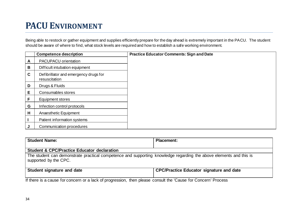## **PACU ENVIRONMENT**

Being able to restock or gather equipment and supplies efficiently prepare for the day ahead is extremely important in the PACU. The student should be aware of where to find, what stock levels are required and how to establish a safe working environment.

|   | <b>Competence description</b>                          | <b>Practice Educator Comments: Sign and Date</b> |
|---|--------------------------------------------------------|--------------------------------------------------|
| Α | <b>PACUPACU</b> orientation                            |                                                  |
| В | Difficult intubation equipment                         |                                                  |
| C | Defibrillator and emergency drugs for<br>resuscitation |                                                  |
| D | Drugs & Fluids                                         |                                                  |
| E | Consumables stores                                     |                                                  |
| F | Equipment stores                                       |                                                  |
| G | Infection control protocols                            |                                                  |
| Н | Anaesthetic Equipment                                  |                                                  |
|   | Patient information systems                            |                                                  |
|   | Communication procedures                               |                                                  |

| <b>Student Name:</b>                                                                                                                                               | <b>Placement:</b>                               |
|--------------------------------------------------------------------------------------------------------------------------------------------------------------------|-------------------------------------------------|
| <b>Student &amp; CPC/Practice Educator declaration</b>                                                                                                             |                                                 |
| The student can demonstrate practical competence and supporting knowledge regarding the above elements and this is<br>supported by the CPC.                        |                                                 |
| <b>Student signature and date</b>                                                                                                                                  | <b>CPC/Practice Educator signature and date</b> |
| If described by $f$ , and so the first of consistent descriptions and that in $\bigcap_{i=1}^n f_i$ . $\bigcap_{i=1}^n f_i$ is a function of $\bigcap_{i=1}^n f_i$ |                                                 |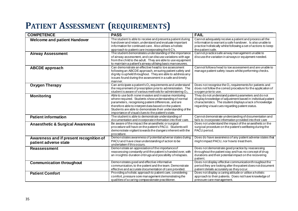## **PATIENT ASSESSMENT (REQUIREMENTS)**

| <b>COMPETENCE</b>                                                | <b>PASS</b>                                                                                                                                                                                                                                                                                                                                            | <b>FAIL</b>                                                                                                                                                                                                                         |
|------------------------------------------------------------------|--------------------------------------------------------------------------------------------------------------------------------------------------------------------------------------------------------------------------------------------------------------------------------------------------------------------------------------------------------|-------------------------------------------------------------------------------------------------------------------------------------------------------------------------------------------------------------------------------------|
| <b>Welcome and patient Handover</b>                              | The student Is able to receive and presenta patient during<br>handover and retain, understand and evaluate important<br>information for continued care. Also utilises a holistic<br>approach to patient care incorporating the 6 C's.                                                                                                                  | Cannot adequately receive a patient and process all the<br>information to warrant a safe handover. Is also unable to<br>practice holistically whilst following a set of actions to keep<br>the patient safe.                        |
| <b>Airway Assessment</b>                                         | The student demonstrates understanding of the importance<br>of airway assessment, and can discuss variations with age<br>from the child to the adult. They are able to use equipment<br>to maintain a patient's airway utilising basic manoeuvres.                                                                                                     | Cannot practice safe airway management unable to<br>discuss the variation in airways or equipment needed.                                                                                                                           |
| <b>ABCDE</b> approach                                            | Can demonstrate an effective head to toe assessment<br>following an ABCDE approach, ensuring patient safety and<br>dignity is upheld throughout. They are able to address any<br>issues found during the assessment in a safe and timely<br>manner.                                                                                                    | Cannot follow a head to toe assessment and are unable to<br>manage patient safety issues whilst performing checks.                                                                                                                  |
| <b>Oxygen Therapy</b>                                            | Can anticipate a patient's $O_2$ requirements and understand<br>the requirement of prescription prior to administration. The<br>student is aware of various methods for administering $O_2$ .                                                                                                                                                          | Does not recognise the $O_2$ requirements for patients and<br>does not follow the correct procedure for the application of<br>oxygen prior to use.                                                                                  |
| <b>Monitoring</b>                                                | Able to use both none invasive and invasive monitoring<br>where required. Students show understanding of normal<br>parameters, recognising patient differences, and are<br>therefore able to interpret data based on the patient.<br>Students are able to demonstrate their understanding of the<br>importance of visual clues to the patient's state. | They do not understand patient parameters and do not<br>display knowledge of adjustment based in individual patient<br>characteristics. The student displays a lack of knowledge<br>regarding visual cues regarding patient status. |
| <b>Patient information</b>                                       | The student is able to demonstrate understanding of<br>documentation and incorporate information into their care.                                                                                                                                                                                                                                      | Cannot demonstrate understanding of documentation and<br>fails to incorporate information provided into their care                                                                                                                  |
| <b>Anaesthetic &amp; Surgical Awareness</b>                      | Be aware of the impact the anaesthetic or surgical<br>procedure will have on the patient's PACU. Students will<br>demonstrate vigilant to wards the dangers inherent with the<br>procedure.                                                                                                                                                            | Does not understand the impact of the anaesthetic or the<br>surgical procedure on the patient's wellbeing during the<br>PACU period.                                                                                                |
| Awareness and if present recognition of<br>patient adverse state | Demonstrates awareness of potential adverse states during<br>PACU and have clear understanding of action to be<br>undertaken if this occurs.                                                                                                                                                                                                           | Does do have awareness of any patient adverse states that<br>might impact PACU, nor how to treat them.                                                                                                                              |
| <b>Reassessment</b>                                              | Demonstrate an appreciation of the importance of<br>reassessing constantly until the patient is handed over, with<br>an insightto duration of drugs and possibility of relapses.                                                                                                                                                                       | Does not demonstrate good practice by reassessing<br>throughout the patient stay and has no concept of drug<br>durations and their potential impact on the recovering<br>patient.                                                   |
| <b>Communication throughout</b>                                  | Demonstrates good and effective informative<br>communication, to the patient and the team. Demonstrate<br>effective and accurate documentation of care provided.                                                                                                                                                                                       | Does not display effective communication throughout the<br>period they are looking after the patient does not document<br>patient details accurately as they occur.                                                                 |
| <b>Patient Comfort</b>                                           | Providing a holistic approach to patient care, considering<br>comfort, pressure sore management demonstrating the<br>qualities of a caring compassionate practitioner.                                                                                                                                                                                 | Does not display a caring attitude or utilise a holistic<br>approach to their patients. Does not have knowledge of<br>pressure care management.                                                                                     |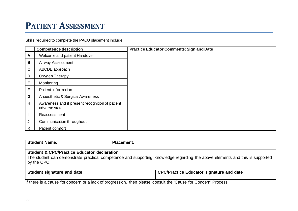#### **PATIENT ASSESSMENT**

Skills required to complete the PACU placement include;

|             | <b>Competence description</b>                                    | <b>Practice Educator Comments: Sign and Date</b> |
|-------------|------------------------------------------------------------------|--------------------------------------------------|
| A           | Welcome and patient Handover                                     |                                                  |
| B           | Airway Assessment                                                |                                                  |
| $\mathbf c$ | ABCDE approach                                                   |                                                  |
| D           | Oxygen Therapy                                                   |                                                  |
| E           | Monitoring                                                       |                                                  |
| F           | Patient information                                              |                                                  |
| G           | Anaesthetic & Surgical Awareness                                 |                                                  |
| H           | Awareness and if present recognition of patient<br>adverse state |                                                  |
|             | Reassessment                                                     |                                                  |
| J           | Communication throughout                                         |                                                  |
| K           | Patient comfort                                                  |                                                  |

| <b>Student Name:</b>                                                                                                                        | <b>Placement:</b>                               |  |  |  |
|---------------------------------------------------------------------------------------------------------------------------------------------|-------------------------------------------------|--|--|--|
| <b>Student &amp; CPC/Practice Educator declaration</b>                                                                                      |                                                 |  |  |  |
| The student can demonstrate practical competence and supporting knowledge regarding the above elements and this is supported<br>by the CPC. |                                                 |  |  |  |
| Student signature and date                                                                                                                  | <b>CPC/Practice Educator signature and date</b> |  |  |  |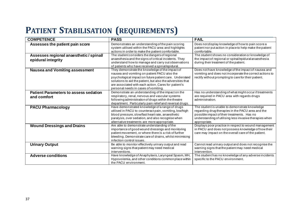### **PATIENT STABILISATION (REQUIREMENTS)**

| <b>COMPETENCE</b>                                           | <b>PASS</b>                                                                                                                                                                                                                                                                                                               | <b>FAIL</b>                                                                                                                                                                                                                   |
|-------------------------------------------------------------|---------------------------------------------------------------------------------------------------------------------------------------------------------------------------------------------------------------------------------------------------------------------------------------------------------------------------|-------------------------------------------------------------------------------------------------------------------------------------------------------------------------------------------------------------------------------|
| Assesses the patient pain score                             | Demonstrates an understanding of the pain scoring<br>system utilised within the PACU area and highlights<br>actions in order to make the patient comfortable.                                                                                                                                                             | Does not display knowledge of how to pain score a<br>patient nor put action in place to help make the patient<br>comfortable.                                                                                                 |
| Assesses regional anaesthetic/spinal<br>epidural integrity  | The student considers the dangers of regional<br>anaesthesia and the signs of critical incidents. They<br>understand how to manage and carry out observations<br>of patients who have received a spinal/epidural.                                                                                                         | The student shows no consideration or knowledge of<br>the impact of regional or spinal/epidural anaesthesia<br>during their treatment of the patient.                                                                         |
| <b>Nausea and Vomiting assessment</b>                       | They demonstrate the knowledge of the impact of<br>nausea and vomiting on patient PACU also the<br>psychological impact on future patient care. Understand<br>solutions to aid the patient, but also the adversities that<br>are associated with each action. Cares for patient's<br>personal needs in cases of vomiting. | Does not have knowledge of the impact of nausea and<br>vomiting and does not incorporate the correct actions to<br>rectify without prompting to care for their patient.                                                       |
| <b>Patient Parameters to assess sedation</b><br>and comfort | Demonstrate an understanding of the impact on the<br>respiratory, renal, nervous and vascular systems<br>following administration of drugs within the theatre<br>department. Particularly pain relief and reversal drugs.                                                                                                 | Has no understanding of what might occur if treatments<br>are required in PACU area with regards drugs<br>administration.                                                                                                     |
| <b>PACU Pharmacology</b>                                    | Have demonstrated knowledge of a range of drugs<br>utilised in PACU to counteract pain, vomiting, low/high<br>blood pressure, slow/fast heart rate, anaesthetic<br>paralysis, over sedation, and also recognise when<br>alternative treatments are more appropriate.                                                      | The student is unable to demonstrate knowledge<br>regarding drug therapies in the PACU area and the<br>possible impact of their treatments. Has no<br>understanding of utilising less invasive therapies when<br>appropriate. |
| <b>Wound Dressings and Drains</b>                           | Are able to demonstrate understanding of the<br>importance of good wound dressings and monitoring<br>patient movement, or where there is a risk of further<br>bleeding. Demonstrate care of drains, whilst minimising<br>infection control issues.                                                                        | Displays poor practice in respect to wound management<br>in PACU and does not possess knowledge of how their<br>care may impact on the overall care of the patient.                                                           |
| <b>Urinary Output</b>                                       | Be able to monitor effectively urinary output and read<br>warning signs that patient may need medical<br>interventions.                                                                                                                                                                                                   | Cannot read urinary output and does not recognise the<br>warning signs that the patient may need medical<br>intervention.                                                                                                     |
| <b>Adverse conditions</b>                                   | Have knowledge of Anaphylaxis, Laryngeal Spasm, MH,<br>Hypovolemia, and other conditions common place within<br>the PACU environment.                                                                                                                                                                                     | The student has no knowledge of any adverse incidents<br>specific to the PACU environment.                                                                                                                                    |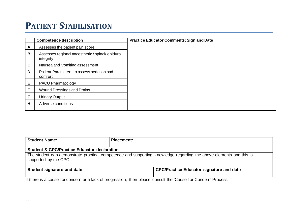#### **PATIENT STABILISATION**

|             | <b>Competence description</b>                                 | <b>Practice Educator Comments: Sign and Date</b> |
|-------------|---------------------------------------------------------------|--------------------------------------------------|
| A           | Assesses the patient pain score                               |                                                  |
| B           | Assesses regional anaesthetic / spinal/ epidural<br>integrity |                                                  |
| $\mathbf C$ | Nausea and Vomiting assessment                                |                                                  |
| D           | Patient Parameters to assess sedation and<br>comfort          |                                                  |
| Е           | <b>PACU Pharmacology</b>                                      |                                                  |
| F           | Wound Dressings and Drains                                    |                                                  |
| G           | Urinary Output                                                |                                                  |
| H           | Adverse conditions                                            |                                                  |

| <b>Student Name:</b>                                                                                                                        | <b>Placement:</b>                               |  |  |  |
|---------------------------------------------------------------------------------------------------------------------------------------------|-------------------------------------------------|--|--|--|
| <b>Student &amp; CPC/Practice Educator declaration</b>                                                                                      |                                                 |  |  |  |
| The student can demonstrate practical competence and supporting knowledge regarding the above elements and this is<br>supported by the CPC. |                                                 |  |  |  |
| Student signature and date                                                                                                                  | <b>CPC/Practice Educator signature and date</b> |  |  |  |
| If there is a seuse for concern or a look of prograpping than places, concult the Cause for Concern! Progress                               |                                                 |  |  |  |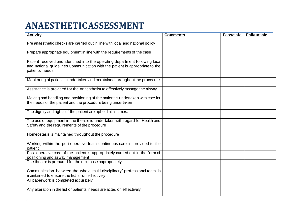## **ANAESTHETICASSESSMENT**

| <b>Activity</b>                                                                                                                                                                  | <b>Comments</b> | Pass/safe | Fail/unsafe |
|----------------------------------------------------------------------------------------------------------------------------------------------------------------------------------|-----------------|-----------|-------------|
| Pre anaesthetic checks are carried out in line with local and national policy                                                                                                    |                 |           |             |
| Prepare appropriate equipment in line with the requirements of the case                                                                                                          |                 |           |             |
| Patient received and identified into the operating department following local<br>and national guidelines Communication with the patient is appropriate to the<br>patients' needs |                 |           |             |
| Monitoring of patient is undertaken and maintained throughout the procedure                                                                                                      |                 |           |             |
| Assistance is provided for the Anaesthetist to effectively manage the airway                                                                                                     |                 |           |             |
| Moving and handling and positioning of the patient is undertaken with care for<br>the needs of the patient and the procedure being undertaken                                    |                 |           |             |
| The dignity and rights of the patient are upheld at all times.                                                                                                                   |                 |           |             |
| The use of equipment in the theatre is undertaken with regard for Health and<br>Safety and the requirements of the procedure                                                     |                 |           |             |
| Homeostasis is maintained throughout the procedure                                                                                                                               |                 |           |             |
| Working within the peri operative team continuous care is provided to the<br>patient                                                                                             |                 |           |             |
| Post-operative care of the patient is appropriately carried out in the form of<br>positioning and airway management                                                              |                 |           |             |
| The theatre is prepared for the next case appropriately                                                                                                                          |                 |           |             |
| Communication between the whole multi-disciplinary/ professional team is<br>maintained to ensure the list is run effectively                                                     |                 |           |             |
| All paperwork is completed accurately                                                                                                                                            |                 |           |             |
| Any alteration in the list or patients' needs are acted on effectively                                                                                                           |                 |           |             |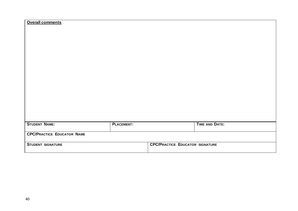| <b>Overall comments</b>           |                   |                                        |  |
|-----------------------------------|-------------------|----------------------------------------|--|
|                                   |                   |                                        |  |
|                                   |                   |                                        |  |
|                                   |                   |                                        |  |
|                                   |                   |                                        |  |
|                                   |                   |                                        |  |
|                                   |                   |                                        |  |
|                                   |                   |                                        |  |
|                                   |                   |                                        |  |
|                                   |                   |                                        |  |
|                                   |                   |                                        |  |
|                                   |                   |                                        |  |
|                                   |                   |                                        |  |
|                                   |                   |                                        |  |
|                                   |                   |                                        |  |
|                                   |                   |                                        |  |
|                                   |                   |                                        |  |
|                                   |                   |                                        |  |
| <b>STUDENT NAME:</b>              | <b>PLACEMENT:</b> | <b>TIME AND DATE:</b>                  |  |
| <b>CPC/PRACTICE EDUCATOR NAME</b> |                   |                                        |  |
|                                   |                   |                                        |  |
| <b>STUDENT SIGNATURE</b>          |                   | <b>CPC/PRACTICE EDUCATOR SIGNATURE</b> |  |
|                                   |                   |                                        |  |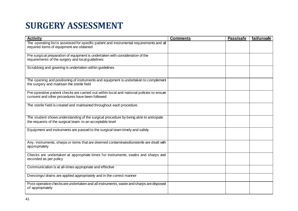## **SURGERY ASSESSMENT**

| <b>Activity</b>                                                                                                                                    | <b>Comments</b> | Pass/safe | fail/unsafe |
|----------------------------------------------------------------------------------------------------------------------------------------------------|-----------------|-----------|-------------|
| The operating list is assessed for specific patient and instrumental requirements and all<br>required items of equipment are obtained              |                 |           |             |
| Pre surgical preparation of equipment is undertaken with consideration of the<br>requirements of the surgery and local guidelines                  |                 |           |             |
| Scrubbing and gowning is undertaken within guidelines                                                                                              |                 |           |             |
| The opening and positioning of instruments and equipment is undertaken to complement<br>the surgery and maintain the sterile field                 |                 |           |             |
| Pre-operative patient checks are carried out within local and national policies to ensure<br>consent and other procedures have been followed       |                 |           |             |
| The sterile field is created and maintained throughout each procedure.                                                                             |                 |           |             |
| The student shows understanding of the surgical procedure by being able to anticipate<br>the requests of the surgical team- to an acceptable level |                 |           |             |
| Equipment and instruments are passed to the surgical team timely and safely                                                                        |                 |           |             |
| Any. instruments, sharps or items that are deemed contaminated/unsterile are dealt with<br>appropriately                                           |                 |           |             |
| Checks are undertaken at appropriate times for instruments, swabs and sharps and<br>recorded as per policy                                         |                 |           |             |
| Communication is at all-times appropriate and effective                                                                                            |                 |           |             |
| Dressings/drains are applied appropriately and in the correct manner                                                                               |                 |           |             |
| Post-operative checks are undertaken and all instruments, waste and sharps are disposed<br>of appropriately                                        |                 |           |             |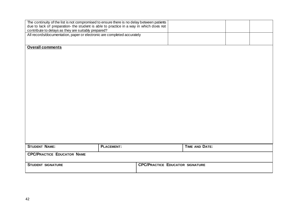| The continuity of the list is not compromised to ensure there is no delay between patients<br>due to lack of preparation- the student is able to practice in a way in which does not |                   |                                        |                       |  |
|--------------------------------------------------------------------------------------------------------------------------------------------------------------------------------------|-------------------|----------------------------------------|-----------------------|--|
| contribute to delays as they are suitably prepared?<br>All records/documentation, paper or electronic are completed accurately                                                       |                   |                                        |                       |  |
| <b>Overall comments</b>                                                                                                                                                              |                   |                                        |                       |  |
|                                                                                                                                                                                      |                   |                                        |                       |  |
|                                                                                                                                                                                      |                   |                                        |                       |  |
|                                                                                                                                                                                      |                   |                                        |                       |  |
|                                                                                                                                                                                      |                   |                                        |                       |  |
|                                                                                                                                                                                      |                   |                                        |                       |  |
|                                                                                                                                                                                      |                   |                                        |                       |  |
|                                                                                                                                                                                      |                   |                                        |                       |  |
| <b>STUDENT NAME:</b>                                                                                                                                                                 | <b>PLACEMENT:</b> |                                        | <b>TIME AND DATE:</b> |  |
| <b>CPC/PRACTICE EDUCATOR NAME</b>                                                                                                                                                    |                   |                                        |                       |  |
| <b>STUDENT SIGNATURE</b>                                                                                                                                                             |                   | <b>CPC/PRACTICE EDUCATOR SIGNATURE</b> |                       |  |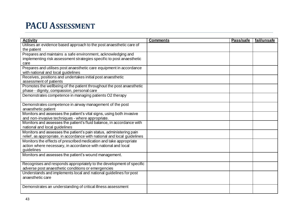### **PACU ASSESSMENT**

| <b>Activity</b>                                                          | <b>Comments</b> | Pass/safe | fail/unsafe |
|--------------------------------------------------------------------------|-----------------|-----------|-------------|
| Utilises an evidence based approach to the post anaesthetic care of      |                 |           |             |
| the patient                                                              |                 |           |             |
| Prepares and maintains a safe environment, acknowledging and             |                 |           |             |
| implementing risk assessment strategies specific to post anaesthetic     |                 |           |             |
| care                                                                     |                 |           |             |
| Prepares and utilises post anaesthetic care equipment in accordance      |                 |           |             |
| with national and local guidelines                                       |                 |           |             |
| Receives, positions and undertakes initial post anaesthetic              |                 |           |             |
| assessment of patients                                                   |                 |           |             |
| Promotes the wellbeing of the patient throughout the post anaesthetic    |                 |           |             |
| phase - dignity, compassion, personal care                               |                 |           |             |
| Demonstrates competence in managing patients O2 therapy                  |                 |           |             |
|                                                                          |                 |           |             |
| Demonstrates competence in airway management of the post                 |                 |           |             |
| anaesthetic patient                                                      |                 |           |             |
| Monitors and assesses the patient's vital signs, using both invasive     |                 |           |             |
| and non-invasive techniques - where appropriate.                         |                 |           |             |
| Monitors and assesses the patient's fluid balance, in accordance with    |                 |           |             |
| national and local guidelines                                            |                 |           |             |
| Monitors and assesses the patient's pain status, administering pain      |                 |           |             |
| relief, as appropriate, in accordance with national and local guidelines |                 |           |             |
| Monitors the effects of prescribed medication and take appropriate       |                 |           |             |
| action where necessary, in accordance with national and local            |                 |           |             |
| guidelines                                                               |                 |           |             |
| Monitors and assesses the patient's wound management.                    |                 |           |             |
|                                                                          |                 |           |             |
| Recognises and responds appropriately to the development of specific     |                 |           |             |
| adverse post anaesthetic conditions or emergencies                       |                 |           |             |
| Understands and implements local and national guidelines for post        |                 |           |             |
| anaesthetic care                                                         |                 |           |             |
|                                                                          |                 |           |             |
| Demonstrates an understanding of critical illness assessment             |                 |           |             |
|                                                                          |                 |           |             |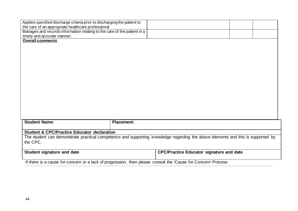| Applies specified discharge criteria prior to discharging the patient to                                                        |                   |                                                 |  |
|---------------------------------------------------------------------------------------------------------------------------------|-------------------|-------------------------------------------------|--|
| the care of an appropriate healthcare professional                                                                              |                   |                                                 |  |
| Manages and records information relating to the care of the patient in a                                                        |                   |                                                 |  |
| timely and accurate manner.                                                                                                     |                   |                                                 |  |
| <b>Overall comments</b>                                                                                                         |                   |                                                 |  |
|                                                                                                                                 |                   |                                                 |  |
|                                                                                                                                 |                   |                                                 |  |
|                                                                                                                                 |                   |                                                 |  |
|                                                                                                                                 |                   |                                                 |  |
|                                                                                                                                 |                   |                                                 |  |
|                                                                                                                                 |                   |                                                 |  |
|                                                                                                                                 |                   |                                                 |  |
|                                                                                                                                 |                   |                                                 |  |
|                                                                                                                                 |                   |                                                 |  |
|                                                                                                                                 |                   |                                                 |  |
|                                                                                                                                 |                   |                                                 |  |
|                                                                                                                                 |                   |                                                 |  |
|                                                                                                                                 |                   |                                                 |  |
|                                                                                                                                 |                   |                                                 |  |
|                                                                                                                                 |                   |                                                 |  |
|                                                                                                                                 |                   |                                                 |  |
| <b>Student Name:</b>                                                                                                            | <b>Placement:</b> |                                                 |  |
|                                                                                                                                 |                   |                                                 |  |
| <b>Student &amp; CPC/Practice Educator declaration</b>                                                                          |                   |                                                 |  |
| The student can demonstrate practical competence and supporting knowledge regarding the above elements and this is supported by |                   |                                                 |  |
| the CPC.                                                                                                                        |                   |                                                 |  |
|                                                                                                                                 |                   |                                                 |  |
| Student signature and date                                                                                                      |                   | <b>CPC/Practice Educator signature and date</b> |  |
|                                                                                                                                 |                   |                                                 |  |
| If there is a cause for concern or a lack of progression, then please consult the 'Cause for Concern' Process                   |                   |                                                 |  |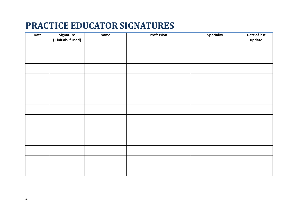### **PRACTICE EDUCATOR SIGNATURES**

| Date | Signature<br>(+ initials if used) | <b>Name</b> | Profession | <b>Speciality</b> | Date of last<br>update |
|------|-----------------------------------|-------------|------------|-------------------|------------------------|
|      |                                   |             |            |                   |                        |
|      |                                   |             |            |                   |                        |
|      |                                   |             |            |                   |                        |
|      |                                   |             |            |                   |                        |
|      |                                   |             |            |                   |                        |
|      |                                   |             |            |                   |                        |
|      |                                   |             |            |                   |                        |
|      |                                   |             |            |                   |                        |
|      |                                   |             |            |                   |                        |
|      |                                   |             |            |                   |                        |
|      |                                   |             |            |                   |                        |
|      |                                   |             |            |                   |                        |
|      |                                   |             |            |                   |                        |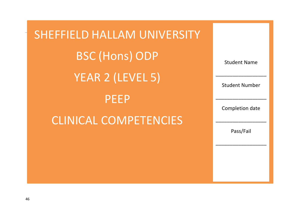| SHEFFIELD HALLAM UNIVERSITY  |                       |
|------------------------------|-----------------------|
| <b>BSC (Hons) ODP</b>        | <b>Student Name</b>   |
| <b>YEAR 2 (LEVEL 5)</b>      | <b>Student Number</b> |
| <b>PEEP</b>                  | Completion date       |
| <b>CLINICAL COMPETENCIES</b> | Pass/Fail             |
|                              |                       |
|                              |                       |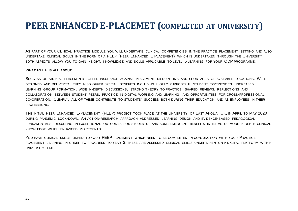#### **PEER ENHANCED E-PLACEMET (COMPLETED AT UNIVERSITY)**

AS PART OF YOUR CLINICAL PRACTICE MODULE YOU WILL UNDERTAKE CLINICAL COMPETENCIES IN THE PRACTICE PLACEMENT SETTING AND ALSO UNDERTAKE CLINICAL SKILLS IN THE FORM OF A PEEP (PEER ENHANCED E PLACEMENT) WHICH IS UNDERTAKEN THROUGH THE UNIVERSITY BOTH ASPECTS ALLOW YOU TO GAIN INSIGHT/ KNOWLEDGE AND SKILLS APPLICABLE TO LEVEL 5 LEARNING FOR YOUR ODP PROGRAMME.

#### **WHAT PEEP IS ALL ABOUT**

SUCCESSFUL VIRTUAL PLACEMENTS OFFER INSURANCE AGAINST PLACEMENT DISRUPTIONS AND SHORTAGES OF AVAILABLE LOCATIONS. WELL-DESIGNED AND DELIVERED, THEY ALSO OFFER SPECIAL BENEFITS INCLUDING HIGHLY PURPOSEFUL STUDENT EXPERIENCES, INCREASED LEARNING GROUP FORMATION, WIDE IN-DEPTH DISCUSSIONS, STRONG THEORY TO PRACTICE, SHARED REVIEWS, REFLECTIONS AND COLLABORATION BETWEEN STUDENT PEERS, PRACTICE IN DIGITAL WORKING AND LEARNING, AND OPPORTUNITIES FOR CROSS-PROFESSIONAL CO-OPERATION. CLEARLY, ALL OF THESE CONTRIBUTE TO STUDENTS' SUCCESS BOTH DURING THEIR EDUCATION AND AS EMPLOYEES IN THEIR PROFESSIONS.

THE INITIAL PEER ENHANCED E-PLACEMENT (PEEP) PROJECT TOOK PLACE AT THE UNIVERSITY OF EAST ANGLIA, UK, IN APRIL TO MAY 2020 DURING PANDEMIC LOCK-DOWN. AN ACTION-RESEARCH APPROACH ADDRESSED LEARNING DESIGN AND EVIDENCE-BASED PEDAGOGICAL FUNDAMENTALS, RESULTING IN EXCEPTIONAL OUTCOMES FOR STUDENTS, AND SOME EMERGENT BENEFITS IN TERMS OF MORE IN DEPTH CLINICAL KNOWLEDGE WHICH ENHANCED PLACEMENTS.

YOU HAVE CLINICAL SKILLS LINKED TO YOUR PEEP PLACEMENT WHICH NEED TO BE COMPLETED IN CONJUNCTION WITH YOUR PRACTICE PLACEMENT LEARNING IN ORDER TO PROGRESS TO YEAR 3, THESE ARE ASSESSED CLINICAL SKILLS UNDERTAKEN ON A DIGITAL PLATFORM WITHIN UNIVERSITY TIME.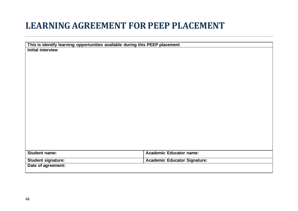#### **LEARNING AGREEMENT FORPEEP PLACEMENT**

| This is identify learning opportunities available during this PEEP placement |                                     |
|------------------------------------------------------------------------------|-------------------------------------|
| <b>Initial interview</b>                                                     |                                     |
|                                                                              |                                     |
|                                                                              |                                     |
|                                                                              |                                     |
|                                                                              |                                     |
|                                                                              |                                     |
|                                                                              |                                     |
|                                                                              |                                     |
|                                                                              |                                     |
|                                                                              |                                     |
|                                                                              |                                     |
|                                                                              |                                     |
|                                                                              |                                     |
|                                                                              |                                     |
|                                                                              |                                     |
|                                                                              |                                     |
|                                                                              |                                     |
|                                                                              |                                     |
|                                                                              |                                     |
| <b>Student name:</b>                                                         | <b>Academic Educator name:</b>      |
| <b>Student signature:</b>                                                    | <b>Academic Educator Signature:</b> |
| Date of agreement:                                                           |                                     |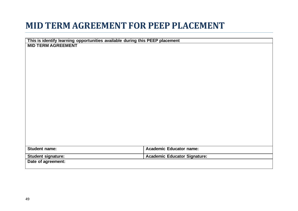### **MID TERM AGREEMENT FOR PEEP PLACEMENT**

| This is identify learning opportunities available during this PEEP placement |                                     |
|------------------------------------------------------------------------------|-------------------------------------|
| <b>MID TERM AGREEMENT</b>                                                    |                                     |
|                                                                              |                                     |
|                                                                              |                                     |
|                                                                              |                                     |
|                                                                              |                                     |
|                                                                              |                                     |
|                                                                              |                                     |
|                                                                              |                                     |
|                                                                              |                                     |
|                                                                              |                                     |
|                                                                              |                                     |
|                                                                              |                                     |
|                                                                              |                                     |
|                                                                              |                                     |
|                                                                              |                                     |
|                                                                              |                                     |
|                                                                              |                                     |
|                                                                              |                                     |
|                                                                              |                                     |
|                                                                              |                                     |
| <b>Student name:</b>                                                         | <b>Academic Educator name:</b>      |
| Student signature:                                                           | <b>Academic Educator Signature:</b> |
| Date of agreement:                                                           |                                     |
|                                                                              |                                     |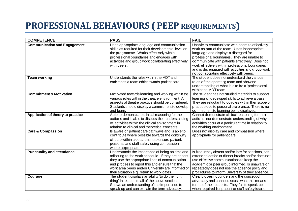### **PROFESSIONAL BEHAVIOURS ( PEEP REQUIREMENTS)**

| <b>COMPETENCE</b>                    | <b>PASS</b>                                                                                                                                                                                                                                                                                                  | <b>FAIL</b>                                                                                                                                                                                                                                                                                                                                                                                     |
|--------------------------------------|--------------------------------------------------------------------------------------------------------------------------------------------------------------------------------------------------------------------------------------------------------------------------------------------------------------|-------------------------------------------------------------------------------------------------------------------------------------------------------------------------------------------------------------------------------------------------------------------------------------------------------------------------------------------------------------------------------------------------|
| <b>Communication and Engagement.</b> | Uses appropriate language and communication<br>skills as required for their developmental level on<br>the programme. Works effectively within<br>professional boundaries and engages with<br>activities and group work collaborating effectively<br>with peers.                                              | Unable to communicate with peers to effectively<br>work as part of the team. Uses inappropriate<br>language and displays a disregard for<br>professional boundaries. They are unable to<br>communicate with patients effectively. Does not<br>work effectively within professional boundaries<br>and is dis engaged with activities and group work<br>not collaborating effectively with peers. |
| Team working                         | Understands the roles within the MDT and<br>embraces a team ethic towards patient care.                                                                                                                                                                                                                      | The student does not understand the various<br>roles of the operating team and show no<br>understanding of what it is to be a 'professional'<br>within the MDT team                                                                                                                                                                                                                             |
| <b>Commitment &amp; Motivation</b>   | Motivated towards learning and working within the<br>various roles within the theatre environment. All<br>aspects of theatre practice should be considered.<br>Students should display a commitment to develop<br>and learn.                                                                                 | The student has not studied materials to support<br>learning or developed skills to achieve a pass.<br>They are reluctant to do roles within their scope of<br>practice due to personal preference. There is no<br>commitment to learning being displayed.                                                                                                                                      |
| Application of theory to practice    | Able to demonstrate clinical reasoning for their<br>actions and is able to discuss their understanding<br>of activities within the clinical environment in<br>relation to clinical and theoretical concepts.                                                                                                 | Cannot demonstrate clinical reasoning for their<br>actions, nor demonstrate understanding of why<br>activities occur at a particular time in relation to<br>the working environment.                                                                                                                                                                                                            |
| <b>Care &amp; Compassion</b>         | Is aware of patient care pathways and is able to<br>contribute where possible towards the continuity<br>of care within a department to ensure patient,<br>personal and staff safety using compassion<br>where appropriate.                                                                                   | Does not display care and compassion where<br>appropriate for patient care.                                                                                                                                                                                                                                                                                                                     |
| <b>Punctuality and attendance</b>    | Understands the importance of being on time and<br>adhering to the work schedule. If they are absent<br>they use the appropriate lines of communication<br>and process to report this and ensure that the<br>work area peers and/or University are informed of<br>their situation e.g. return to work dates. | Is frequently absent and/or late for sessions, has<br>extended coffee or dinner breaks and/or does not<br>use effective communications to keep the<br>academic or peer group informed. Is unaware or<br>repeatedly does not use the absence polity and<br>procedures to inform University of their absence.                                                                                     |
| Courage                              | The student displays an ability 'to do the right<br>thing' in relation to all of the above sections.<br>Shows an understanding of the importance to<br>speak up and can explain the term advocacy.                                                                                                           | Clearly does not understand the concept of<br>advocacy and cannot discuss what this means in<br>terms of their patients. They fail to speak up<br>when required for patient or staff safety issues.                                                                                                                                                                                             |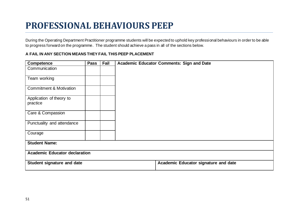## **PROFESSIONAL BEHAVIOURS PEEP**

During the Operating Department Practitioner programme students will be expected to uphold key professional behaviours in order to be able to progress forward on the programme. The student should achieve a pass in all of the sections below.

#### **A FAIL IN ANY SECTION MEANS THEY FAIL THIS PEEP PLACEMENT**

| <b>Competence</b>                    | <b>Pass</b> | <b>Fail</b> | Academic Educator Comments: Sign and Date |
|--------------------------------------|-------------|-------------|-------------------------------------------|
| Communication                        |             |             |                                           |
| Team working                         |             |             |                                           |
| <b>Commitment &amp; Motivation</b>   |             |             |                                           |
| Application of theory to<br>practice |             |             |                                           |
| Care & Compassion                    |             |             |                                           |
| Punctuality and attendance           |             |             |                                           |
| Courage                              |             |             |                                           |
| <b>Student Name:</b>                 |             |             |                                           |
| <b>Academic Educator declaration</b> |             |             |                                           |
| <b>Student signature and date</b>    |             |             | Academic Educator signature and date      |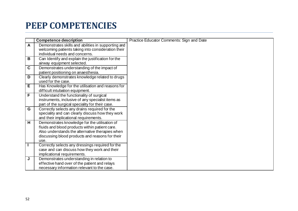## **PEEP COMPETENCIES**

|              | <b>Competence description</b>                       | Practice Educator Comments: Sign and Date |
|--------------|-----------------------------------------------------|-------------------------------------------|
| $\mathsf{A}$ | Demonstrates skills and abilities in supporting and |                                           |
|              | welcoming patients taking into consideration their  |                                           |
|              | individual needs and concerns.                      |                                           |
| B            | Can Identify and explain the justification for the  |                                           |
|              | airway equipment selected.                          |                                           |
| $\mathbf c$  | Demonstrates understanding of the impact of         |                                           |
|              | patient positioning on anaesthesia.                 |                                           |
| D            | Clearly demonstrates knowledge related to drugs     |                                           |
|              | used for the case.                                  |                                           |
| Е            | Has Knowledge for the utilisation and reasons for   |                                           |
|              | difficult intubation equipment.                     |                                           |
| F            | Understand the functionality of surgical            |                                           |
|              | instruments, inclusive of any specialist items as   |                                           |
|              | part of the surgical speciality for their case.     |                                           |
| G            | Correctly selects any drains required for the       |                                           |
|              | speciality and can clearly discuss how they work    |                                           |
|              | and their implicational requirements.               |                                           |
| н            | Demonstrates knowledge for the utilisation of       |                                           |
|              | fluids and blood products within patient care.      |                                           |
|              | Also understands the alternative therapies when     |                                           |
|              | discussing blood products and reasons for their     |                                           |
|              | use.                                                |                                           |
|              | Correctly selects any dressings required for the    |                                           |
|              | case and can discuss how they work and their        |                                           |
|              | implicational requirements.                         |                                           |
| J            | Demonstrates understanding in relation to           |                                           |
|              | effective hand over of the patient and relays       |                                           |
|              | necessary information relevant to the case.         |                                           |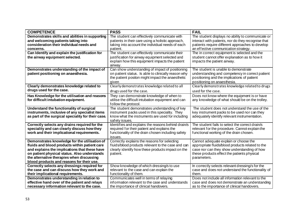| <b>COMPETENCE</b>                                                                          | <b>PASS</b>                                                                           | <b>FAIL</b>                                                                                           |
|--------------------------------------------------------------------------------------------|---------------------------------------------------------------------------------------|-------------------------------------------------------------------------------------------------------|
| Demonstrates skills and abilities in supporting                                            | The student can effectively communicate with                                          | The student displays no ability to communicate or                                                     |
| and welcoming patients taking into                                                         | patients in their care using a holistic approach,                                     | interact with patients, nor do they recognise that                                                    |
| consideration their individual needs and                                                   | taking into account the individual needs of each                                      | patients require different approaches to develop                                                      |
| concerns.                                                                                  | patient.                                                                              | an effective communication strategy.                                                                  |
| Can Identify and explain the justification for                                             | The student can effectively communicate their                                         | The in correct equipment is selected and the                                                          |
| the airway equipment selected.                                                             | justification for airway equipment selected and                                       | student cannot offer explanation as to how it                                                         |
|                                                                                            | explain how this equipment impacts the patient                                        | impacts the patient airway.                                                                           |
|                                                                                            | airway.                                                                               |                                                                                                       |
| Demonstrates understanding of the impact of                                                | Can show understanding of impact of positioning                                       | The student is unable to demonstrate                                                                  |
| patient positioning on anaesthesia.                                                        | on patient status. Is able to clinically reason why                                   | understanding and competency in correct patient                                                       |
|                                                                                            | the patient positon might impact the anaesthetic                                      | positioning and the implications of patient                                                           |
|                                                                                            | given                                                                                 | positioning on anaesthesia.                                                                           |
| Clearly demonstrates knowledge related to                                                  | Clearly demonstrates knowledge related to all                                         | Clearly demonstrates knowledge related to drugs                                                       |
| drugs used for the case.                                                                   | drugs used for the case.                                                              | used for the case.                                                                                    |
| Has Knowledge for the utilisation and reasons                                              | They can demonstrate knowledge of when to                                             | Does not know where the equipment is or have                                                          |
| for difficult intubation equipment.                                                        | utilise the difficult intubation equipment and can                                    | any knowledge of what should be on the trolley.                                                       |
|                                                                                            | follow the protocol.                                                                  |                                                                                                       |
| Understand the functionality of surgical                                                   | The student demonstrates understanding of key                                         | The student does not understand the use of the                                                        |
| instruments, inclusive of any specialist items                                             | instrument packs used in this speciality. They                                        | key instrument packs to be used nor can they                                                          |
| as part of the surgical speciality for their case.                                         | know what the instruments are used for including                                      | adequately identify relevant instrumentation.                                                         |
|                                                                                            | safety issues.                                                                        |                                                                                                       |
| Correctly selects any drains required for the                                              | Identifies and explains the reasons behind drain/s                                    | The student fails to select the correct drain/s                                                       |
| speciality and can clearly discuss how they                                                | required for their patient and explains the                                           | relevant for the procedure. Cannot explain the                                                        |
| work and their implicational requirements.                                                 | functionality of the drain chosen including safety                                    | functional working of the drain chosen.                                                               |
|                                                                                            | issues.                                                                               |                                                                                                       |
| Demonstrates knowledge for the utilisation of                                              | Correctly explains the reasons for selecting                                          | Cannot adequate explain or choose the                                                                 |
| fluids and blood products within patient care                                              | fluids/blood products relevant to the case and can                                    | appropriate fluids/blood products related to the                                                      |
| and explains the implications that these have                                              | clearly identify how these products impact on the                                     | case nor can they show understanding of how                                                           |
| on patient physical status. Also understands                                               | patient.                                                                              | these products effect the patients physical                                                           |
| the alternative therapies when discussing                                                  |                                                                                       | parameters.                                                                                           |
| blood products and reasons for their use.                                                  |                                                                                       |                                                                                                       |
| Correctly selects any dressings required for<br>the case and can discuss how they work and | Show knowledge of which dressing/s to use<br>relevant to the case and can explain the | In correctly selects relevant dressing/s for the<br>case and does not understand the functionality of |
| their implicational requirements.                                                          | functionality of them.                                                                | them.                                                                                                 |
| Demonstrates understanding in relation to                                                  | Communicates well in terms of relaying                                                | Does not include all information relevant to the                                                      |
| effective hand over of the patient and relays                                              | information relevant to the case and understands                                      | case and does not demonstrate an understanding                                                        |
| necessary information relevant to the case.                                                | the importance of clinical handovers.                                                 | as to the importance of clinical handovers.                                                           |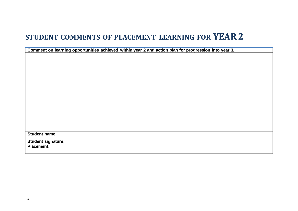#### **STUDENT COMMENTS OF PLACEMENT LEARNING FOR YEAR2**

**Comment on learning opportunities achieved within year 2 and action plan for progression into year 3.**

**Student name:**

**Student signature:**

**Placement:**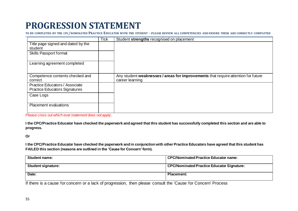## **PROGRESSION STATEMENT**

**TO BE COMPLETED BY THE CPC/NOMINATED PRACTICE EDUCATOR WITH THE STUDENT - PLEASE REVIEW ALL COMPETENCIES AND ENSURE THESE ARE CORRECTLY COMPLETED**

|                                                                        | <b>Tick</b> | Student strengths recognised on placement                                                            |
|------------------------------------------------------------------------|-------------|------------------------------------------------------------------------------------------------------|
| Title page signed and dated by the<br>student                          |             |                                                                                                      |
| Skills Passport format                                                 |             |                                                                                                      |
| Learning agreement completed                                           |             |                                                                                                      |
| Competence contents checked and<br>correct                             |             | Any student weaknesses / areas for improvements that require attention for future<br>career learning |
| Practice Educators / Associate<br><b>Practice Educators Signatures</b> |             |                                                                                                      |
| Case Logs                                                              |             |                                                                                                      |
| Placement evaluations                                                  |             |                                                                                                      |

*Please cross out which ever statement does not apply.*

**I the CPC/Practice Educator have checked the paperwork and agreed that this student has successfully completed this section and are able to progress.**

#### **Or**

**I the CPC/Practice Educator have checked the paperwork and in conjunction with other Practice Educators have agreed that this student has FAILED this section (reasons are outlined in the 'Cause for Concern' form).**

| <b>Student name:</b>      | <b>CPC/Nominated Practice Educator name:</b>      |
|---------------------------|---------------------------------------------------|
| <b>Student signature:</b> | <b>CPC/Nominated Practice Educator Signature:</b> |
| Date:                     | <b>Placement:</b>                                 |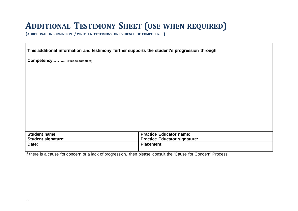#### **ADDITIONAL TESTIMONY SHEET (USE WHEN REQUIRED)**

**(ADDITIONAL INFORMATION / WRITTEN TESTIMONY OR EVIDENCE OF COMPETENCE)**

**This additional information and testimony further supports the student's progression through** 

**Competency.……... (Please complete)**

| <b>Student name:</b>      | <b>Practice Educator name:</b>      |
|---------------------------|-------------------------------------|
| <b>Student signature:</b> | <b>Practice Educator signature:</b> |
| Date:                     | <b>Placement:</b>                   |
|                           |                                     |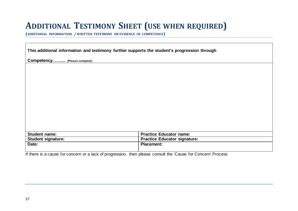#### **ADDITIONAL TESTIMONY SHEET (USE WHEN REQUIRED)**

**(ADDITIONAL INFORMATION / WRITTEN TESTIMONY OR EVIDENCE OF COMPETENCE)**

**This additional information and testimony further supports the student's progression through** 

**Competency.……... (Please complete)**

| Student name:      | <b>Practice Educator name:</b>      |
|--------------------|-------------------------------------|
| Student signature: | <b>Practice Educator signature:</b> |
| Date:              | <b>Placement:</b>                   |
|                    |                                     |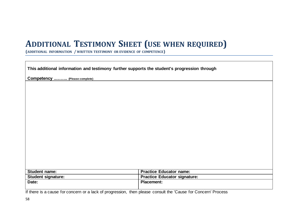#### **ADDITIONAL TESTIMONY SHEET (USE WHEN REQUIRED)**

**(ADDITIONAL INFORMATION / WRITTEN TESTIMONY OR EVIDENCE OF COMPETENCE)**

**This additional information and testimony further supports the student's progression through** 

**Competency ..…….. (Please complete)**

| <b>Student name:</b>      | <b>Practice Educator name:</b>      |
|---------------------------|-------------------------------------|
| <b>Student signature:</b> | <b>Practice Educator signature:</b> |
| Date:                     | <b>Placement:</b>                   |
|                           |                                     |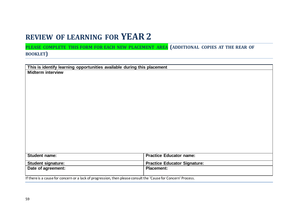#### **REVIEW OF LEARNING FOR YEAR2**

#### **PLEASE COMPLETE THIS FORM FOR EACH NEW PLACEMENT AREA (ADDITIONAL COPIES AT THE REAR OF BOOKLET)**

| This is identify learning opportunities available during this placement                                        |                                     |
|----------------------------------------------------------------------------------------------------------------|-------------------------------------|
| <b>Midterm interview</b>                                                                                       |                                     |
|                                                                                                                |                                     |
|                                                                                                                |                                     |
|                                                                                                                |                                     |
|                                                                                                                |                                     |
|                                                                                                                |                                     |
|                                                                                                                |                                     |
|                                                                                                                |                                     |
|                                                                                                                |                                     |
|                                                                                                                |                                     |
|                                                                                                                |                                     |
|                                                                                                                |                                     |
|                                                                                                                |                                     |
|                                                                                                                |                                     |
|                                                                                                                |                                     |
|                                                                                                                |                                     |
|                                                                                                                |                                     |
| Student name:                                                                                                  | <b>Practice Educator name:</b>      |
|                                                                                                                |                                     |
| <b>Student signature:</b>                                                                                      | <b>Practice Educator Signature:</b> |
| Date of agreement:                                                                                             | <b>Placement:</b>                   |
|                                                                                                                |                                     |
| If there is a cause for concern or a lack of progression, then please consult the 'Cause for Concern' Process. |                                     |